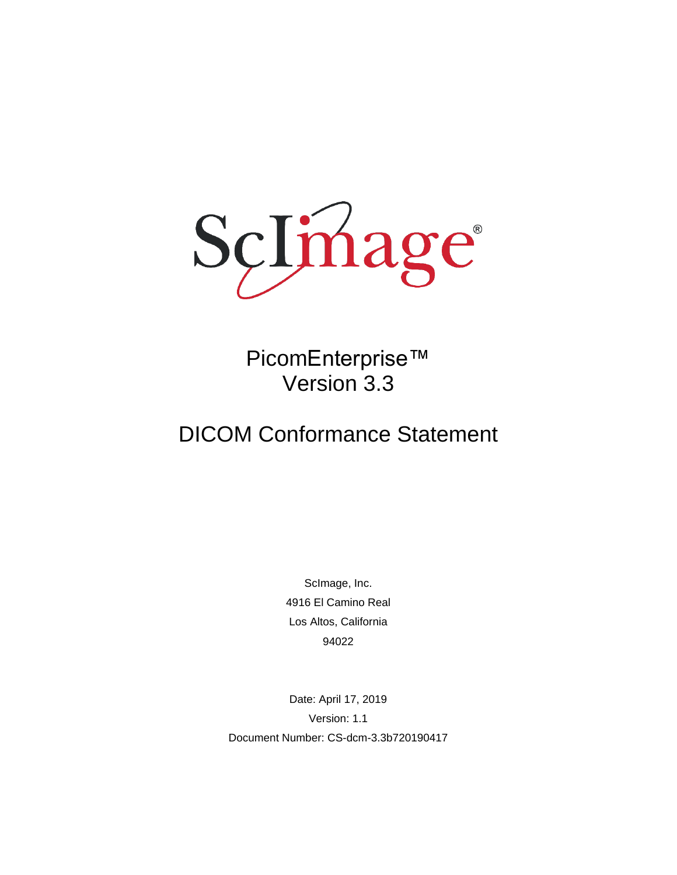

PicomEnterprise™ Version 3.3

# DICOM Conformance Statement

ScImage, Inc. 4916 El Camino Real Los Altos, California 94022

Date: April 17, 2019 Version: 1.1 Document Number: CS-dcm-3.3b720190417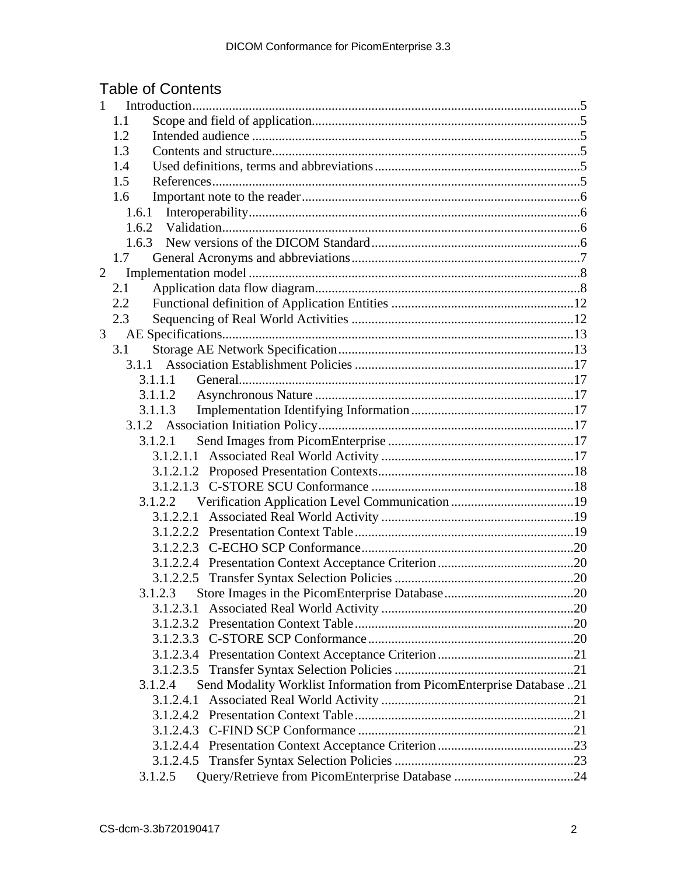# Table of Contents

| $\mathbf{1}$   |                                                                                |  |
|----------------|--------------------------------------------------------------------------------|--|
|                | 1.1                                                                            |  |
|                | 1.2                                                                            |  |
|                | 1.3                                                                            |  |
|                | 1.4                                                                            |  |
|                | 1.5                                                                            |  |
|                | 1.6                                                                            |  |
|                | 1.6.1                                                                          |  |
|                | 1.6.2                                                                          |  |
|                |                                                                                |  |
|                | 1.7                                                                            |  |
| $\overline{2}$ |                                                                                |  |
|                | 2.1                                                                            |  |
|                | 2.2                                                                            |  |
|                | 2.3                                                                            |  |
| 3              |                                                                                |  |
|                | 3.1                                                                            |  |
|                | 3.1.1                                                                          |  |
|                | 3.1.1.1                                                                        |  |
|                | 3.1.1.2                                                                        |  |
|                | 3.1.1.3                                                                        |  |
|                |                                                                                |  |
|                | 3.1.2.1                                                                        |  |
|                |                                                                                |  |
|                |                                                                                |  |
|                |                                                                                |  |
|                | 3.1.2.2                                                                        |  |
|                | 3.1.2.2.1                                                                      |  |
|                |                                                                                |  |
|                |                                                                                |  |
|                |                                                                                |  |
|                |                                                                                |  |
|                | 3.1.2.3                                                                        |  |
|                | 3.1.2.3.1                                                                      |  |
|                |                                                                                |  |
|                |                                                                                |  |
|                |                                                                                |  |
|                |                                                                                |  |
|                | Send Modality Worklist Information from PicomEnterprise Database 21<br>3.1.2.4 |  |
|                | 3.1.2.4.1                                                                      |  |
|                | 3.1.2.4.2                                                                      |  |
|                |                                                                                |  |
|                |                                                                                |  |
|                |                                                                                |  |
|                | 3.1.2.5                                                                        |  |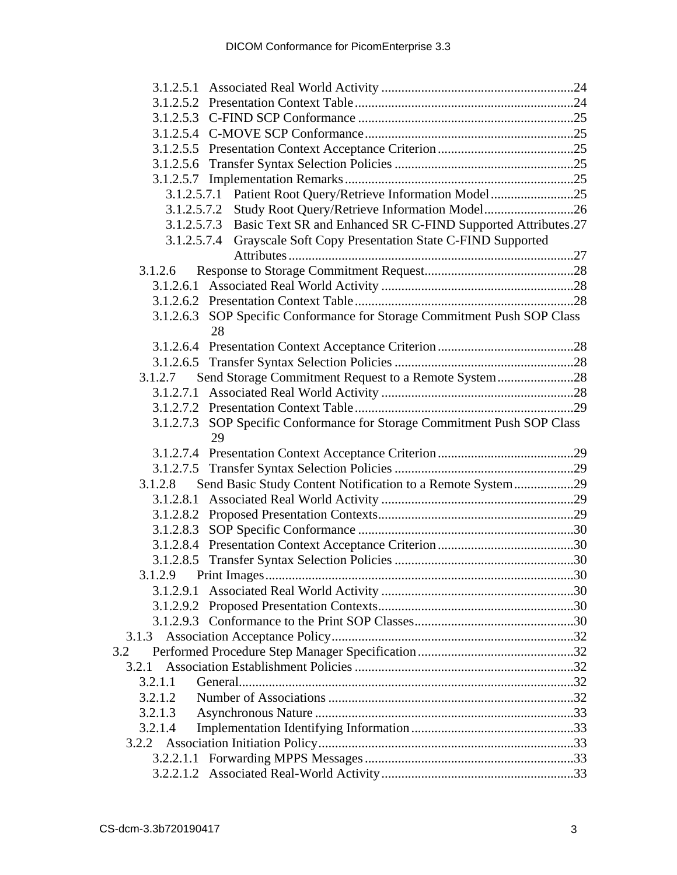| 3.1.2.5.7.1 Patient Root Query/Retrieve Information Model 25             |  |
|--------------------------------------------------------------------------|--|
|                                                                          |  |
| 3.1.2.5.7.3 Basic Text SR and Enhanced SR C-FIND Supported Attributes.27 |  |
| Grayscale Soft Copy Presentation State C-FIND Supported<br>3.1.2.5.7.4   |  |
|                                                                          |  |
| 3.1.2.6                                                                  |  |
|                                                                          |  |
|                                                                          |  |
| 3.1.2.6.3 SOP Specific Conformance for Storage Commitment Push SOP Class |  |
| 28                                                                       |  |
|                                                                          |  |
|                                                                          |  |
| Send Storage Commitment Request to a Remote System28<br>3.1.2.7          |  |
|                                                                          |  |
|                                                                          |  |
| 3.1.2.7.3 SOP Specific Conformance for Storage Commitment Push SOP Class |  |
| 29                                                                       |  |
|                                                                          |  |
|                                                                          |  |
| Send Basic Study Content Notification to a Remote System29<br>3.1.2.8    |  |
|                                                                          |  |
|                                                                          |  |
|                                                                          |  |
|                                                                          |  |
|                                                                          |  |
|                                                                          |  |
|                                                                          |  |
|                                                                          |  |
|                                                                          |  |
|                                                                          |  |
| 3.2                                                                      |  |
| 3.2.1                                                                    |  |
| 3.2.1.1                                                                  |  |
| 3.2.1.2                                                                  |  |
| 3.2.1.3                                                                  |  |
| 3.2.1.4                                                                  |  |
|                                                                          |  |
|                                                                          |  |
|                                                                          |  |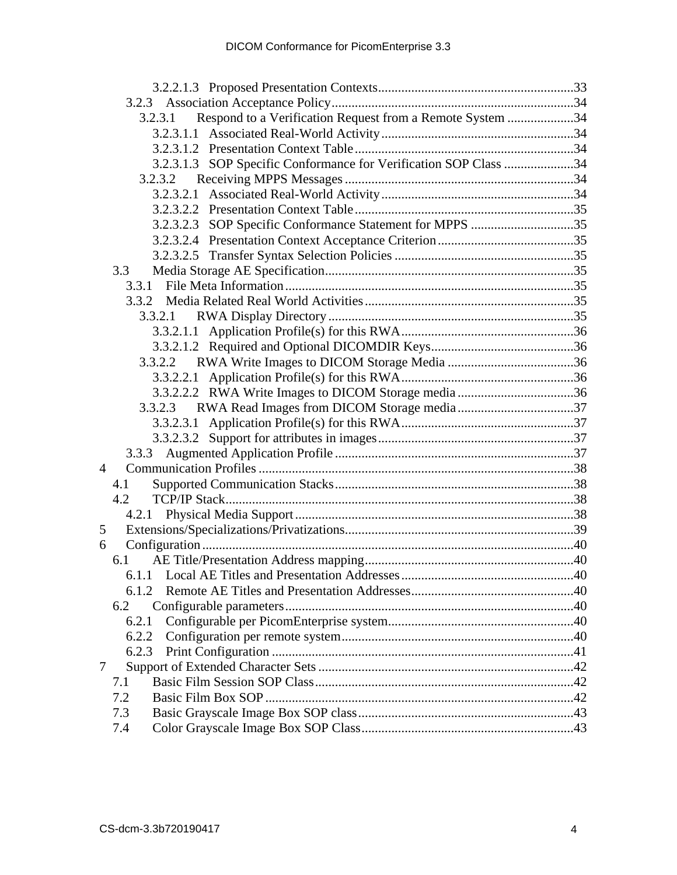|   | Respond to a Verification Request from a Remote System 34<br>3.2.3.1 |  |
|---|----------------------------------------------------------------------|--|
|   |                                                                      |  |
|   |                                                                      |  |
|   | 3.2.3.1.3 SOP Specific Conformance for Verification SOP Class 34     |  |
|   |                                                                      |  |
|   |                                                                      |  |
|   |                                                                      |  |
|   | 3.2.3.2.3 SOP Specific Conformance Statement for MPPS 35             |  |
|   |                                                                      |  |
|   |                                                                      |  |
|   | 3.3                                                                  |  |
|   | 3.3.1                                                                |  |
|   | 3.3.2                                                                |  |
|   |                                                                      |  |
|   |                                                                      |  |
|   |                                                                      |  |
|   | 3.3.2.2                                                              |  |
|   |                                                                      |  |
|   |                                                                      |  |
|   | 3.3.2.3                                                              |  |
|   |                                                                      |  |
|   |                                                                      |  |
|   | 3.3.3                                                                |  |
| 4 |                                                                      |  |
|   | 4.1                                                                  |  |
|   | 4.2                                                                  |  |
|   |                                                                      |  |
| 5 |                                                                      |  |
| 6 |                                                                      |  |
|   | 6.1                                                                  |  |
|   |                                                                      |  |
|   | 6.1.2                                                                |  |
|   | 6.2                                                                  |  |
|   | 6.2.1                                                                |  |
|   | 6.2.2                                                                |  |
|   | 6.2.3                                                                |  |
| 7 |                                                                      |  |
|   | 7.1                                                                  |  |
|   | 7.2                                                                  |  |
|   | 7.3                                                                  |  |
|   | 7.4                                                                  |  |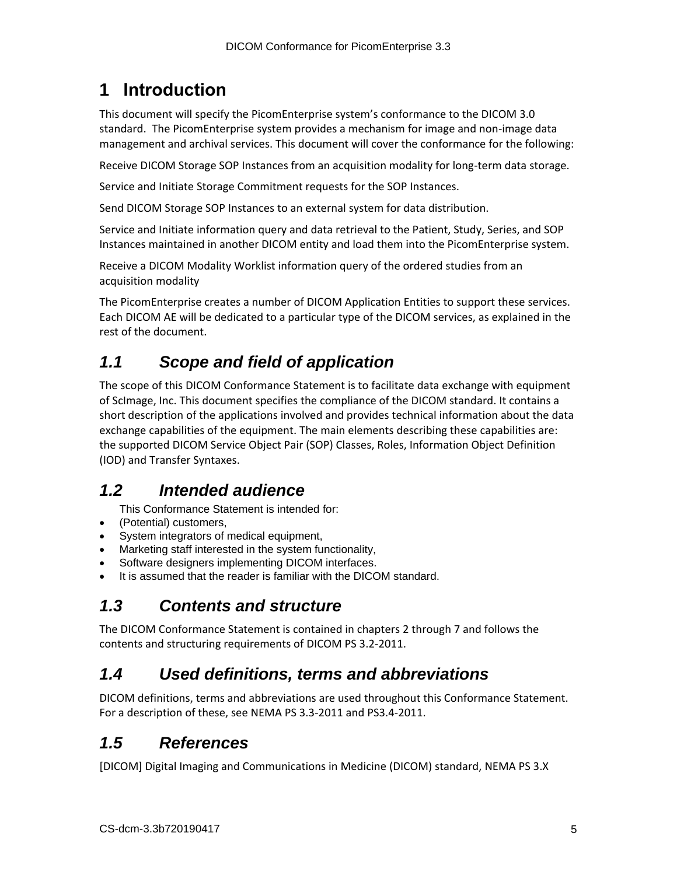# <span id="page-4-0"></span>**1 Introduction**

This document will specify the PicomEnterprise system's conformance to the DICOM 3.0 standard. The PicomEnterprise system provides a mechanism for image and non-image data management and archival services. This document will cover the conformance for the following:

Receive DICOM Storage SOP Instances from an acquisition modality for long-term data storage.

Service and Initiate Storage Commitment requests for the SOP Instances.

Send DICOM Storage SOP Instances to an external system for data distribution.

Service and Initiate information query and data retrieval to the Patient, Study, Series, and SOP Instances maintained in another DICOM entity and load them into the PicomEnterprise system.

Receive a DICOM Modality Worklist information query of the ordered studies from an acquisition modality

The PicomEnterprise creates a number of DICOM Application Entities to support these services. Each DICOM AE will be dedicated to a particular type of the DICOM services, as explained in the rest of the document.

# <span id="page-4-1"></span>*1.1 Scope and field of application*

The scope of this DICOM Conformance Statement is to facilitate data exchange with equipment of ScImage, Inc. This document specifies the compliance of the DICOM standard. It contains a short description of the applications involved and provides technical information about the data exchange capabilities of the equipment. The main elements describing these capabilities are: the supported DICOM Service Object Pair (SOP) Classes, Roles, Information Object Definition (IOD) and Transfer Syntaxes.

# <span id="page-4-2"></span>*1.2 Intended audience*

This Conformance Statement is intended for:

- (Potential) customers,
- System integrators of medical equipment,
- Marketing staff interested in the system functionality,
- Software designers implementing DICOM interfaces.
- It is assumed that the reader is familiar with the DICOM standard.

# <span id="page-4-3"></span>*1.3 Contents and structure*

The DICOM Conformance Statement is contained in chapters 2 through 7 and follows the contents and structuring requirements of DICOM PS 3.2-2011.

# <span id="page-4-4"></span>*1.4 Used definitions, terms and abbreviations*

DICOM definitions, terms and abbreviations are used throughout this Conformance Statement. For a description of these, see NEMA PS 3.3-2011 and PS3.4-2011.

# <span id="page-4-5"></span>*1.5 References*

[DICOM] Digital Imaging and Communications in Medicine (DICOM) standard, NEMA PS 3.X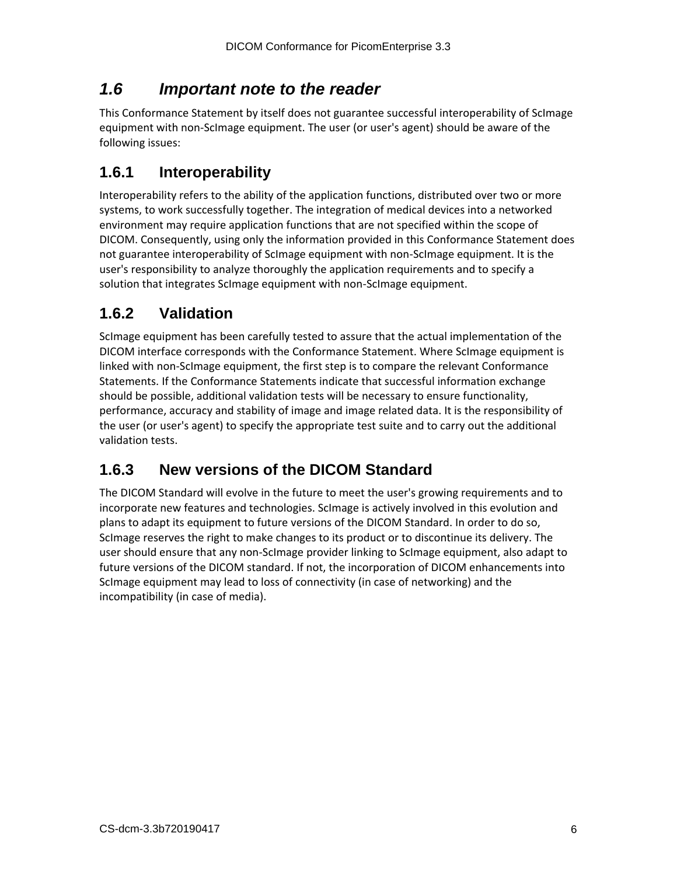# <span id="page-5-0"></span>*1.6 Important note to the reader*

This Conformance Statement by itself does not guarantee successful interoperability of ScImage equipment with non-ScImage equipment. The user (or user's agent) should be aware of the following issues:

## <span id="page-5-1"></span>**1.6.1 Interoperability**

Interoperability refers to the ability of the application functions, distributed over two or more systems, to work successfully together. The integration of medical devices into a networked environment may require application functions that are not specified within the scope of DICOM. Consequently, using only the information provided in this Conformance Statement does not guarantee interoperability of ScImage equipment with non-ScImage equipment. It is the user's responsibility to analyze thoroughly the application requirements and to specify a solution that integrates ScImage equipment with non-ScImage equipment.

## <span id="page-5-2"></span>**1.6.2 Validation**

ScImage equipment has been carefully tested to assure that the actual implementation of the DICOM interface corresponds with the Conformance Statement. Where ScImage equipment is linked with non-ScImage equipment, the first step is to compare the relevant Conformance Statements. If the Conformance Statements indicate that successful information exchange should be possible, additional validation tests will be necessary to ensure functionality, performance, accuracy and stability of image and image related data. It is the responsibility of the user (or user's agent) to specify the appropriate test suite and to carry out the additional validation tests.

# <span id="page-5-3"></span>**1.6.3 New versions of the DICOM Standard**

The DICOM Standard will evolve in the future to meet the user's growing requirements and to incorporate new features and technologies. ScImage is actively involved in this evolution and plans to adapt its equipment to future versions of the DICOM Standard. In order to do so, ScImage reserves the right to make changes to its product or to discontinue its delivery. The user should ensure that any non-ScImage provider linking to ScImage equipment, also adapt to future versions of the DICOM standard. If not, the incorporation of DICOM enhancements into ScImage equipment may lead to loss of connectivity (in case of networking) and the incompatibility (in case of media).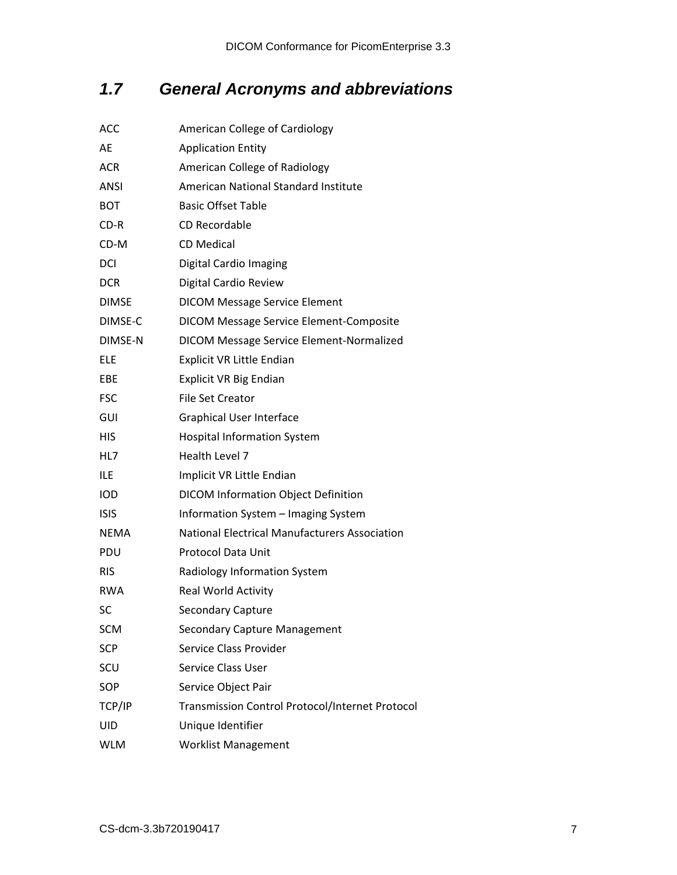# <span id="page-6-0"></span>*1.7 General Acronyms and abbreviations*

| ACC          | American College of Cardiology                       |
|--------------|------------------------------------------------------|
| AE           | <b>Application Entity</b>                            |
| ACR          | American College of Radiology                        |
| ANSI         | American National Standard Institute                 |
| <b>BOT</b>   | <b>Basic Offset Table</b>                            |
| CD-R         | CD Recordable                                        |
| CD-M         | <b>CD Medical</b>                                    |
| DCI          | <b>Digital Cardio Imaging</b>                        |
| <b>DCR</b>   | Digital Cardio Review                                |
| <b>DIMSE</b> | <b>DICOM Message Service Element</b>                 |
| DIMSE-C      | DICOM Message Service Element-Composite              |
| DIMSE-N      | DICOM Message Service Element-Normalized             |
| ELE          | <b>Explicit VR Little Endian</b>                     |
| EBE          | <b>Explicit VR Big Endian</b>                        |
| <b>FSC</b>   | <b>File Set Creator</b>                              |
| GUI          | <b>Graphical User Interface</b>                      |
| HIS          | <b>Hospital Information System</b>                   |
| HL7          | Health Level 7                                       |
| ILE          | Implicit VR Little Endian                            |
| IOD          | <b>DICOM Information Object Definition</b>           |
| <b>ISIS</b>  | Information System - Imaging System                  |
| <b>NEMA</b>  | <b>National Electrical Manufacturers Association</b> |
| PDU          | <b>Protocol Data Unit</b>                            |
| <b>RIS</b>   | Radiology Information System                         |
| <b>RWA</b>   | Real World Activity                                  |
| SC           | Secondary Capture                                    |
| SCM          | <b>Secondary Capture Management</b>                  |
| SCP          | Service Class Provider                               |
| SCU          | <b>Service Class User</b>                            |
| SOP          | Service Object Pair                                  |
| TCP/IP       | Transmission Control Protocol/Internet Protocol      |
| UID          | Unique Identifier                                    |
| <b>WLM</b>   | <b>Worklist Management</b>                           |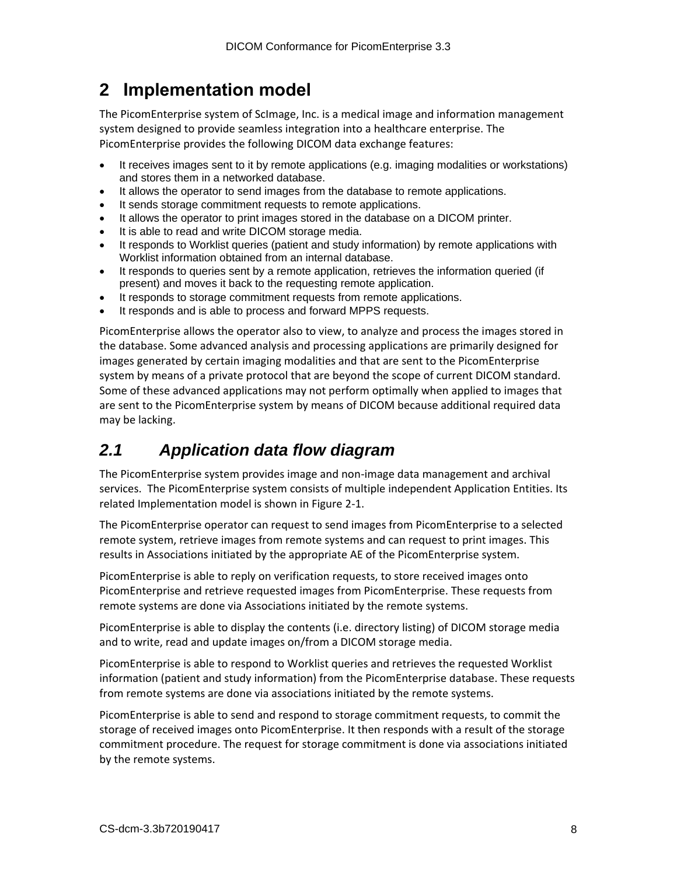# <span id="page-7-0"></span>**2 Implementation model**

The PicomEnterprise system of ScImage, Inc. is a medical image and information management system designed to provide seamless integration into a healthcare enterprise. The PicomEnterprise provides the following DICOM data exchange features:

- It receives images sent to it by remote applications (e.g. imaging modalities or workstations) and stores them in a networked database.
- It allows the operator to send images from the database to remote applications.
- It sends storage commitment requests to remote applications.
- It allows the operator to print images stored in the database on a DICOM printer.
- It is able to read and write DICOM storage media.
- It responds to Worklist queries (patient and study information) by remote applications with Worklist information obtained from an internal database.
- It responds to queries sent by a remote application, retrieves the information queried (if present) and moves it back to the requesting remote application.
- It responds to storage commitment requests from remote applications.
- It responds and is able to process and forward MPPS requests.

PicomEnterprise allows the operator also to view, to analyze and process the images stored in the database. Some advanced analysis and processing applications are primarily designed for images generated by certain imaging modalities and that are sent to the PicomEnterprise system by means of a private protocol that are beyond the scope of current DICOM standard. Some of these advanced applications may not perform optimally when applied to images that are sent to the PicomEnterprise system by means of DICOM because additional required data may be lacking.

# <span id="page-7-1"></span>*2.1 Application data flow diagram*

The PicomEnterprise system provides image and non-image data management and archival services. The PicomEnterprise system consists of multiple independent Application Entities. Its related Implementation model is shown in Figure 2-1.

The PicomEnterprise operator can request to send images from PicomEnterprise to a selected remote system, retrieve images from remote systems and can request to print images. This results in Associations initiated by the appropriate AE of the PicomEnterprise system.

PicomEnterprise is able to reply on verification requests, to store received images onto PicomEnterprise and retrieve requested images from PicomEnterprise. These requests from remote systems are done via Associations initiated by the remote systems.

PicomEnterprise is able to display the contents (i.e. directory listing) of DICOM storage media and to write, read and update images on/from a DICOM storage media.

PicomEnterprise is able to respond to Worklist queries and retrieves the requested Worklist information (patient and study information) from the PicomEnterprise database. These requests from remote systems are done via associations initiated by the remote systems.

PicomEnterprise is able to send and respond to storage commitment requests, to commit the storage of received images onto PicomEnterprise. It then responds with a result of the storage commitment procedure. The request for storage commitment is done via associations initiated by the remote systems.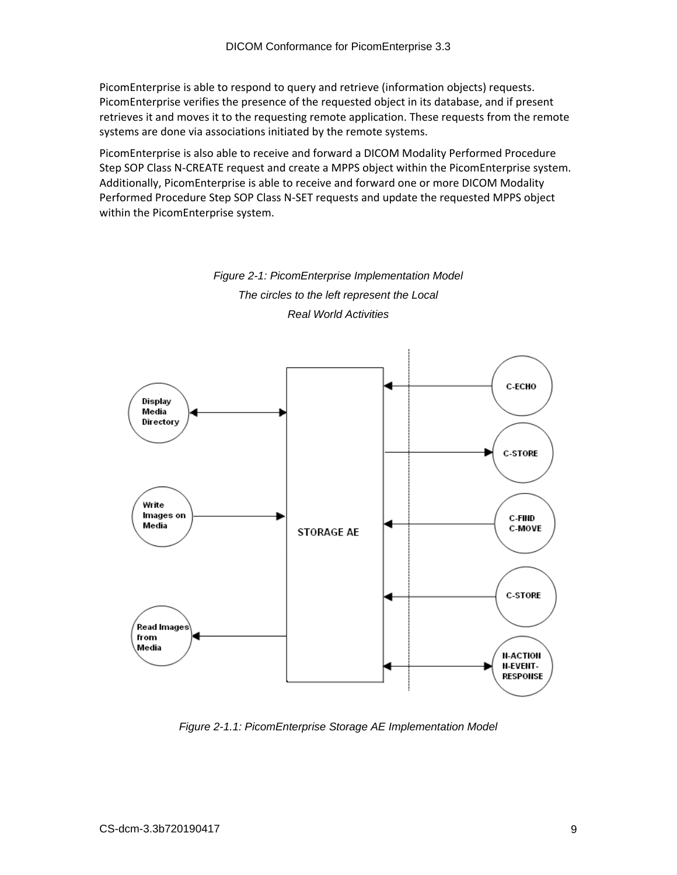PicomEnterprise is able to respond to query and retrieve (information objects) requests. PicomEnterprise verifies the presence of the requested object in its database, and if present retrieves it and moves it to the requesting remote application. These requests from the remote systems are done via associations initiated by the remote systems.

PicomEnterprise is also able to receive and forward a DICOM Modality Performed Procedure Step SOP Class N-CREATE request and create a MPPS object within the PicomEnterprise system. Additionally, PicomEnterprise is able to receive and forward one or more DICOM Modality Performed Procedure Step SOP Class N-SET requests and update the requested MPPS object within the PicomEnterprise system.



*Figure 2-1: PicomEnterprise Implementation Model*

*Figure 2-1.1: PicomEnterprise Storage AE Implementation Model*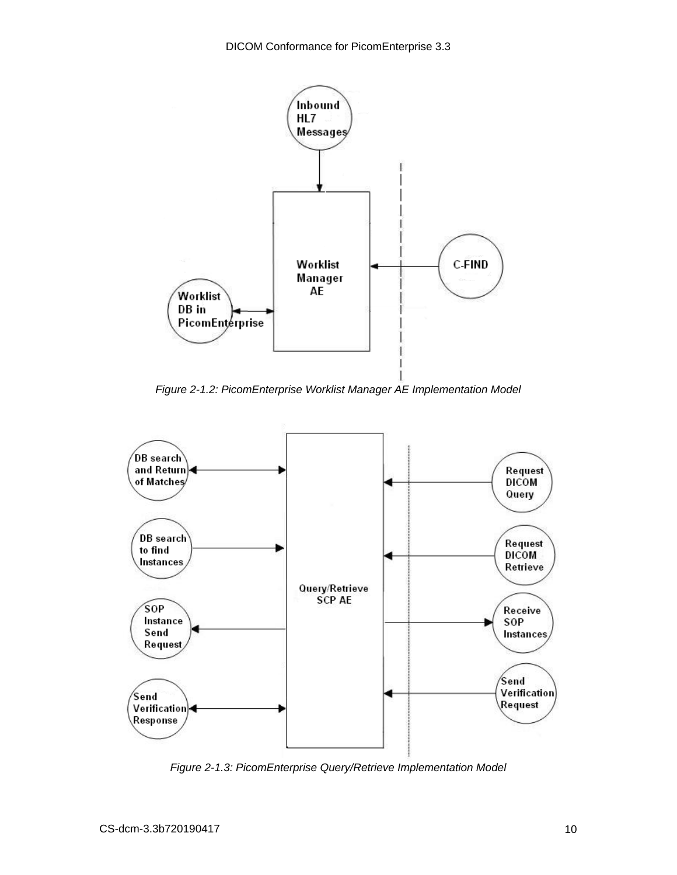

*Figure 2-1.2: PicomEnterprise Worklist Manager AE Implementation Model*



*Figure 2-1.3: PicomEnterprise Query/Retrieve Implementation Model*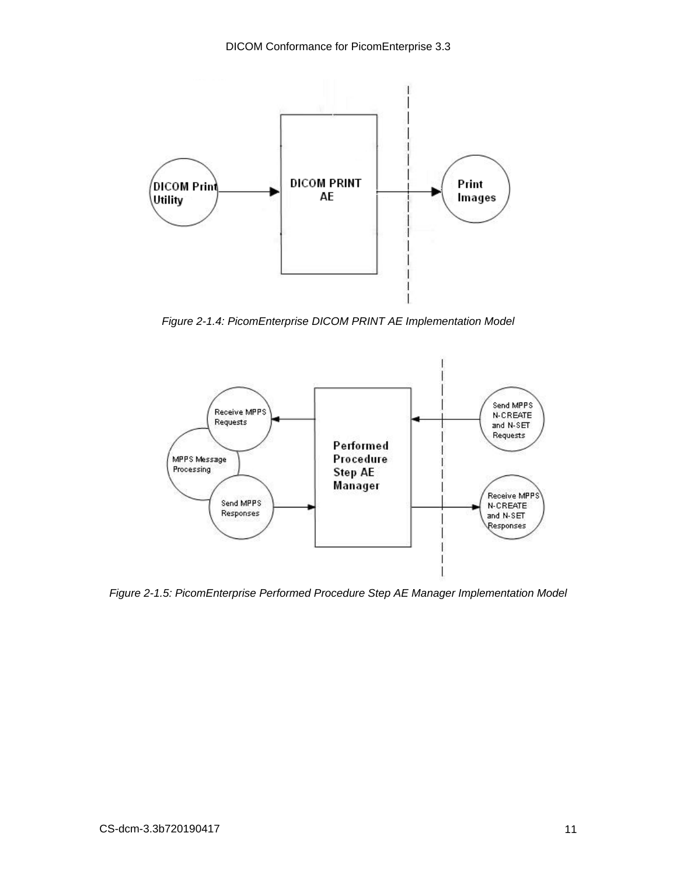

*Figure 2-1.4: PicomEnterprise DICOM PRINT AE Implementation Model*



*Figure 2-1.5: PicomEnterprise Performed Procedure Step AE Manager Implementation Model*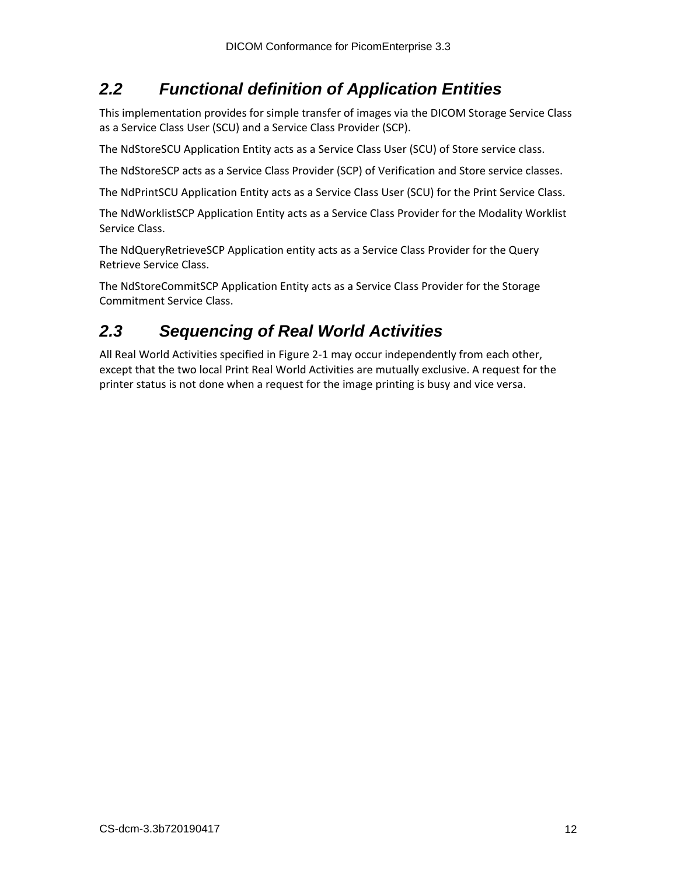## <span id="page-11-0"></span>*2.2 Functional definition of Application Entities*

This implementation provides for simple transfer of images via the DICOM Storage Service Class as a Service Class User (SCU) and a Service Class Provider (SCP).

The NdStoreSCU Application Entity acts as a Service Class User (SCU) of Store service class.

The NdStoreSCP acts as a Service Class Provider (SCP) of Verification and Store service classes.

The NdPrintSCU Application Entity acts as a Service Class User (SCU) for the Print Service Class.

The NdWorklistSCP Application Entity acts as a Service Class Provider for the Modality Worklist Service Class.

The NdQueryRetrieveSCP Application entity acts as a Service Class Provider for the Query Retrieve Service Class.

The NdStoreCommitSCP Application Entity acts as a Service Class Provider for the Storage Commitment Service Class.

# <span id="page-11-1"></span>*2.3 Sequencing of Real World Activities*

All Real World Activities specified in Figure 2-1 may occur independently from each other, except that the two local Print Real World Activities are mutually exclusive. A request for the printer status is not done when a request for the image printing is busy and vice versa.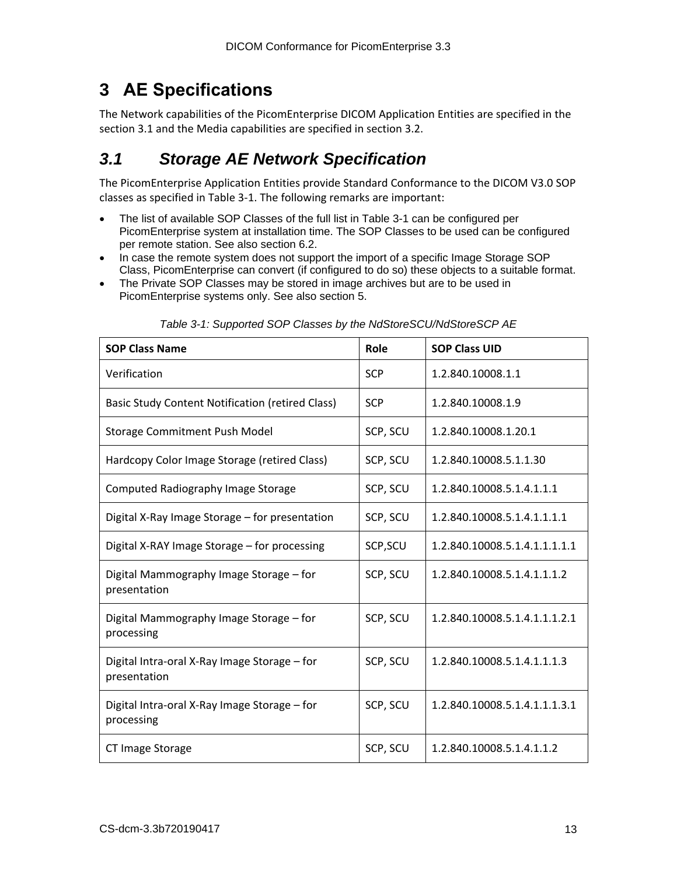# <span id="page-12-0"></span>**3 AE Specifications**

The Network capabilities of the PicomEnterprise DICOM Application Entities are specified in the section 3.1 and the Media capabilities are specified in section 3.2.

# <span id="page-12-1"></span>*3.1 Storage AE Network Specification*

The PicomEnterprise Application Entities provide Standard Conformance to the DICOM V3.0 SOP classes as specified in Table 3-1. The following remarks are important:

- The list of available SOP Classes of the full list in Table 3-1 can be configured per PicomEnterprise system at installation time. The SOP Classes to be used can be configured per remote station. See also section 6.2.
- In case the remote system does not support the import of a specific Image Storage SOP Class, PicomEnterprise can convert (if configured to do so) these objects to a suitable format.
- The Private SOP Classes may be stored in image archives but are to be used in PicomEnterprise systems only. See also section 5.

| <b>SOP Class Name</b>                                        | <b>Role</b> | <b>SOP Class UID</b>          |
|--------------------------------------------------------------|-------------|-------------------------------|
| Verification                                                 | <b>SCP</b>  | 1.2.840.10008.1.1             |
| Basic Study Content Notification (retired Class)             | <b>SCP</b>  | 1.2.840.10008.1.9             |
| Storage Commitment Push Model                                | SCP, SCU    | 1.2.840.10008.1.20.1          |
| Hardcopy Color Image Storage (retired Class)                 | SCP, SCU    | 1.2.840.10008.5.1.1.30        |
| Computed Radiography Image Storage                           | SCP, SCU    | 1.2.840.10008.5.1.4.1.1.1     |
| Digital X-Ray Image Storage - for presentation               | SCP, SCU    | 1.2.840.10008.5.1.4.1.1.1.1   |
| Digital X-RAY Image Storage - for processing                 | SCP, SCU    | 1.2.840.10008.5.1.4.1.1.1.1.1 |
| Digital Mammography Image Storage - for<br>presentation      | SCP, SCU    | 1.2.840.10008.5.1.4.1.1.1.2   |
| Digital Mammography Image Storage – for<br>processing        | SCP, SCU    | 1.2.840.10008.5.1.4.1.1.1.2.1 |
| Digital Intra-oral X-Ray Image Storage - for<br>presentation | SCP, SCU    | 1.2.840.10008.5.1.4.1.1.1.3   |
| Digital Intra-oral X-Ray Image Storage - for<br>processing   | SCP, SCU    | 1.2.840.10008.5.1.4.1.1.1.3.1 |
| CT Image Storage                                             | SCP, SCU    | 1.2.840.10008.5.1.4.1.1.2     |

*Table 3-1: Supported SOP Classes by the NdStoreSCU/NdStoreSCP AE*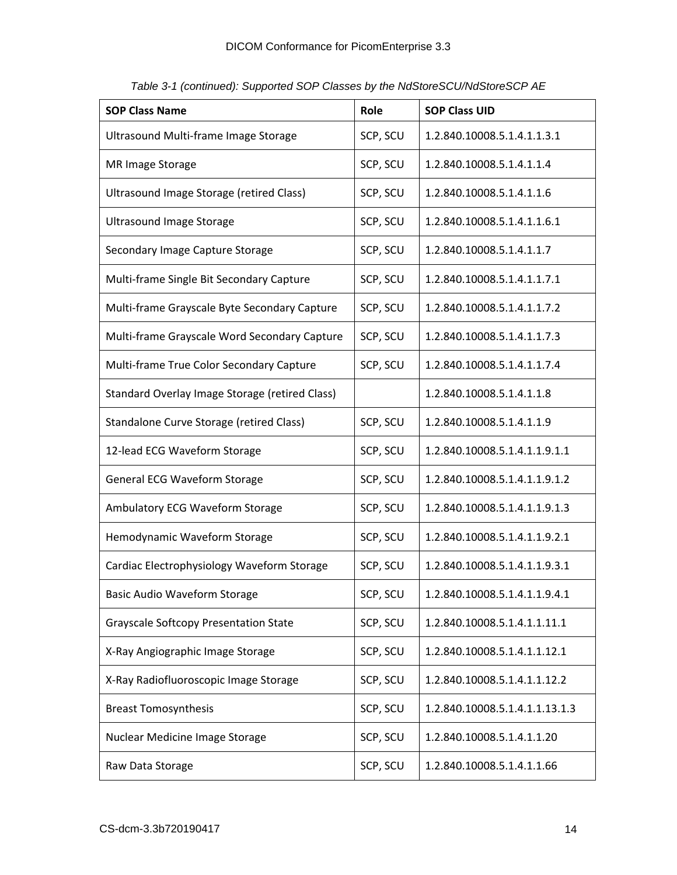| <b>SOP Class Name</b>                          | Role     | <b>SOP Class UID</b>           |
|------------------------------------------------|----------|--------------------------------|
| Ultrasound Multi-frame Image Storage           | SCP, SCU | 1.2.840.10008.5.1.4.1.1.3.1    |
| MR Image Storage                               | SCP, SCU | 1.2.840.10008.5.1.4.1.1.4      |
| Ultrasound Image Storage (retired Class)       | SCP, SCU | 1.2.840.10008.5.1.4.1.1.6      |
| <b>Ultrasound Image Storage</b>                | SCP, SCU | 1.2.840.10008.5.1.4.1.1.6.1    |
| Secondary Image Capture Storage                | SCP, SCU | 1.2.840.10008.5.1.4.1.1.7      |
| Multi-frame Single Bit Secondary Capture       | SCP, SCU | 1.2.840.10008.5.1.4.1.1.7.1    |
| Multi-frame Grayscale Byte Secondary Capture   | SCP, SCU | 1.2.840.10008.5.1.4.1.1.7.2    |
| Multi-frame Grayscale Word Secondary Capture   | SCP, SCU | 1.2.840.10008.5.1.4.1.1.7.3    |
| Multi-frame True Color Secondary Capture       | SCP, SCU | 1.2.840.10008.5.1.4.1.1.7.4    |
| Standard Overlay Image Storage (retired Class) |          | 1.2.840.10008.5.1.4.1.1.8      |
| Standalone Curve Storage (retired Class)       | SCP, SCU | 1.2.840.10008.5.1.4.1.1.9      |
| 12-lead ECG Waveform Storage                   | SCP, SCU | 1.2.840.10008.5.1.4.1.1.9.1.1  |
| General ECG Waveform Storage                   | SCP, SCU | 1.2.840.10008.5.1.4.1.1.9.1.2  |
| Ambulatory ECG Waveform Storage                | SCP, SCU | 1.2.840.10008.5.1.4.1.1.9.1.3  |
| Hemodynamic Waveform Storage                   | SCP, SCU | 1.2.840.10008.5.1.4.1.1.9.2.1  |
| Cardiac Electrophysiology Waveform Storage     | SCP, SCU | 1.2.840.10008.5.1.4.1.1.9.3.1  |
| Basic Audio Waveform Storage                   | SCP, SCU | 1.2.840.10008.5.1.4.1.1.9.4.1  |
| <b>Grayscale Softcopy Presentation State</b>   | SCP, SCU | 1.2.840.10008.5.1.4.1.1.11.1   |
| X-Ray Angiographic Image Storage               | SCP, SCU | 1.2.840.10008.5.1.4.1.1.12.1   |
| X-Ray Radiofluoroscopic Image Storage          | SCP, SCU | 1.2.840.10008.5.1.4.1.1.12.2   |
| <b>Breast Tomosynthesis</b>                    | SCP, SCU | 1.2.840.10008.5.1.4.1.1.13.1.3 |
| Nuclear Medicine Image Storage                 | SCP, SCU | 1.2.840.10008.5.1.4.1.1.20     |
| Raw Data Storage                               | SCP, SCU | 1.2.840.10008.5.1.4.1.1.66     |

*Table 3-1 (continued): Supported SOP Classes by the NdStoreSCU/NdStoreSCP AE*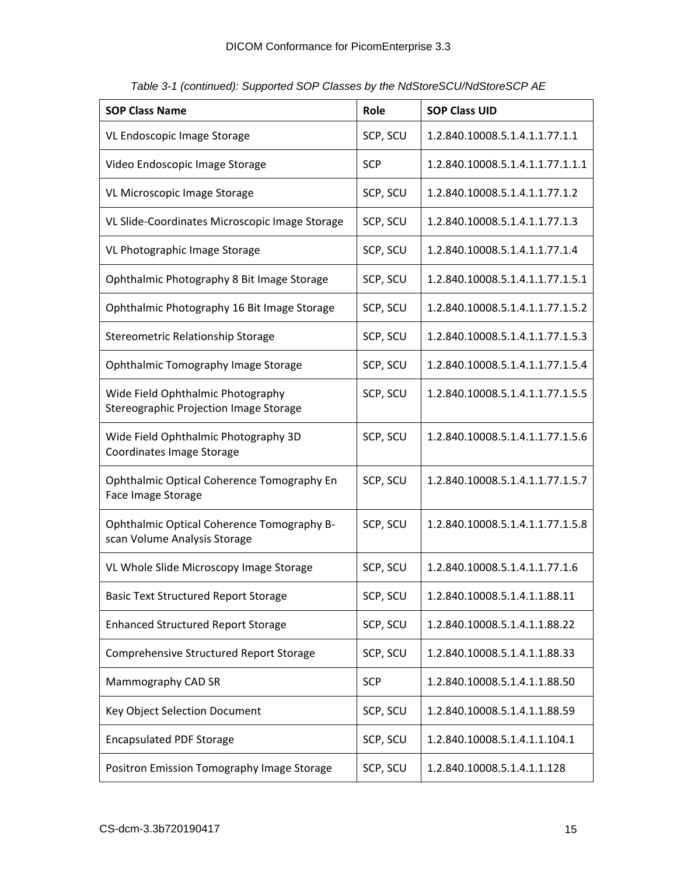| <b>SOP Class Name</b>                                                       | Role       | <b>SOP Class UID</b>             |
|-----------------------------------------------------------------------------|------------|----------------------------------|
| VL Endoscopic Image Storage                                                 | SCP, SCU   | 1.2.840.10008.5.1.4.1.1.77.1.1   |
| Video Endoscopic Image Storage                                              | <b>SCP</b> | 1.2.840.10008.5.1.4.1.1.77.1.1.1 |
| VL Microscopic Image Storage                                                | SCP, SCU   | 1.2.840.10008.5.1.4.1.1.77.1.2   |
| VL Slide-Coordinates Microscopic Image Storage                              | SCP, SCU   | 1.2.840.10008.5.1.4.1.1.77.1.3   |
| VL Photographic Image Storage                                               | SCP, SCU   | 1.2.840.10008.5.1.4.1.1.77.1.4   |
| Ophthalmic Photography 8 Bit Image Storage                                  | SCP, SCU   | 1.2.840.10008.5.1.4.1.1.77.1.5.1 |
| Ophthalmic Photography 16 Bit Image Storage                                 | SCP, SCU   | 1.2.840.10008.5.1.4.1.1.77.1.5.2 |
| Stereometric Relationship Storage                                           | SCP, SCU   | 1.2.840.10008.5.1.4.1.1.77.1.5.3 |
| Ophthalmic Tomography Image Storage                                         | SCP, SCU   | 1.2.840.10008.5.1.4.1.1.77.1.5.4 |
| Wide Field Ophthalmic Photography<br>Stereographic Projection Image Storage | SCP, SCU   | 1.2.840.10008.5.1.4.1.1.77.1.5.5 |
| Wide Field Ophthalmic Photography 3D<br>Coordinates Image Storage           | SCP, SCU   | 1.2.840.10008.5.1.4.1.1.77.1.5.6 |
| Ophthalmic Optical Coherence Tomography En<br>Face Image Storage            | SCP, SCU   | 1.2.840.10008.5.1.4.1.1.77.1.5.7 |
| Ophthalmic Optical Coherence Tomography B-<br>scan Volume Analysis Storage  | SCP, SCU   | 1.2.840.10008.5.1.4.1.1.77.1.5.8 |
| VL Whole Slide Microscopy Image Storage                                     | SCP, SCU   | 1.2.840.10008.5.1.4.1.1.77.1.6   |
| Basic Text Structured Report Storage                                        | SCP, SCU   | 1.2.840.10008.5.1.4.1.1.88.11    |
| <b>Enhanced Structured Report Storage</b>                                   | SCP, SCU   | 1.2.840.10008.5.1.4.1.1.88.22    |
| Comprehensive Structured Report Storage                                     | SCP, SCU   | 1.2.840.10008.5.1.4.1.1.88.33    |
| Mammography CAD SR                                                          | <b>SCP</b> | 1.2.840.10008.5.1.4.1.1.88.50    |
| Key Object Selection Document                                               | SCP, SCU   | 1.2.840.10008.5.1.4.1.1.88.59    |
| <b>Encapsulated PDF Storage</b>                                             | SCP, SCU   | 1.2.840.10008.5.1.4.1.1.104.1    |
| Positron Emission Tomography Image Storage                                  | SCP, SCU   | 1.2.840.10008.5.1.4.1.1.128      |

*Table 3-1 (continued): Supported SOP Classes by the NdStoreSCU/NdStoreSCP AE*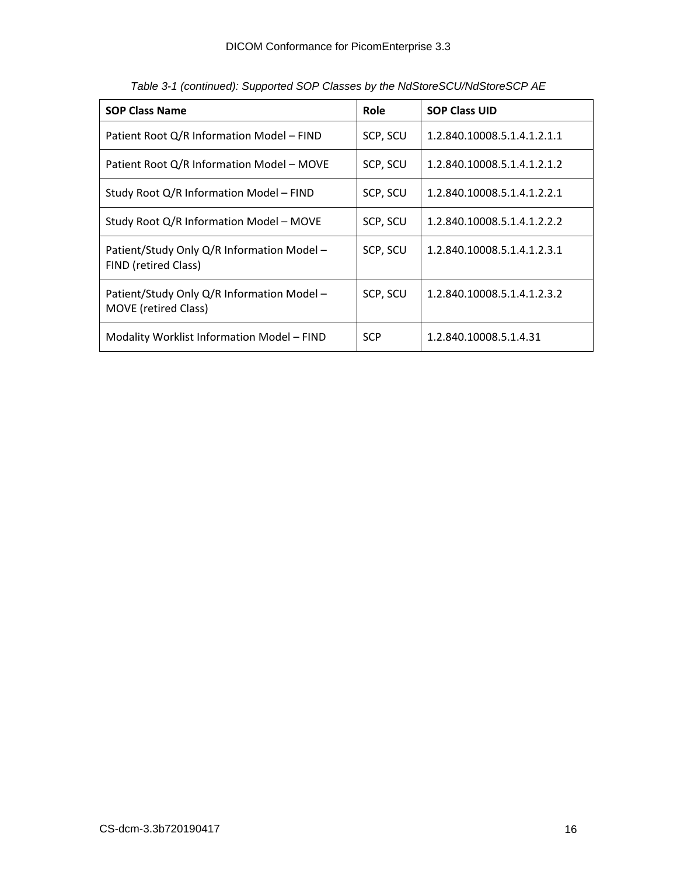| <b>SOP Class Name</b>                                                     | Role       | <b>SOP Class UID</b>        |
|---------------------------------------------------------------------------|------------|-----------------------------|
| Patient Root Q/R Information Model - FIND<br>SCP, SCU                     |            | 1.2.840.10008.5.1.4.1.2.1.1 |
| Patient Root Q/R Information Model - MOVE<br>SCP, SCU                     |            | 1.2.840.10008.5.1.4.1.2.1.2 |
| Study Root Q/R Information Model - FIND                                   | SCP, SCU   | 1.2.840.10008.5.1.4.1.2.2.1 |
| Study Root Q/R Information Model – MOVE                                   | SCP, SCU   | 1.2.840.10008.5.1.4.1.2.2.2 |
| Patient/Study Only Q/R Information Model -<br>FIND (retired Class)        | SCP, SCU   | 1.2.840.10008.5.1.4.1.2.3.1 |
| Patient/Study Only Q/R Information Model -<br><b>MOVE</b> (retired Class) | SCP, SCU   | 1.2.840.10008.5.1.4.1.2.3.2 |
| Modality Worklist Information Model - FIND                                | <b>SCP</b> | 1.2.840.10008.5.1.4.31      |

*Table 3-1 (continued): Supported SOP Classes by the NdStoreSCU/NdStoreSCP AE*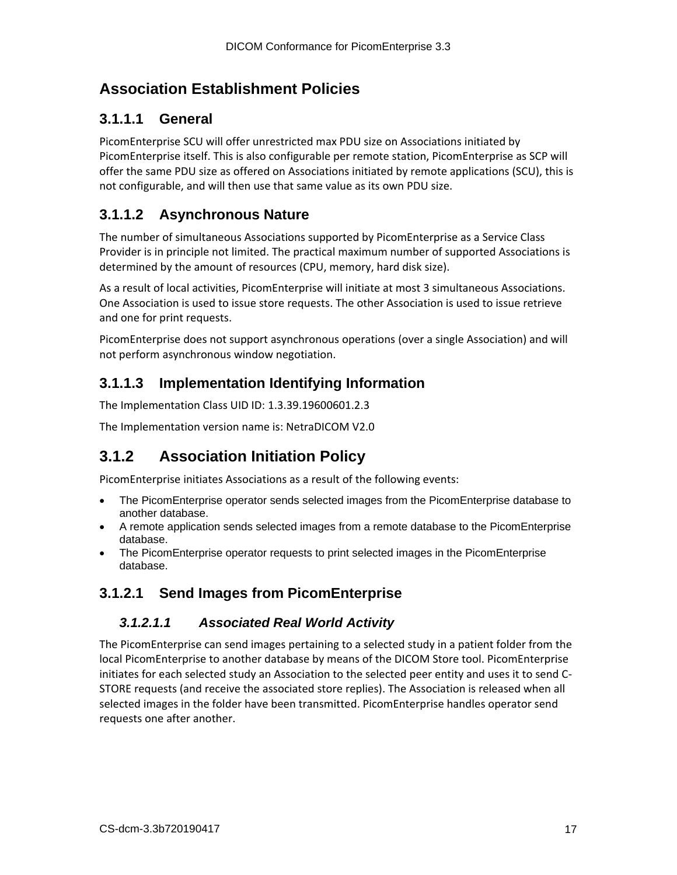## <span id="page-16-0"></span>**Association Establishment Policies**

## <span id="page-16-1"></span>**3.1.1.1 General**

PicomEnterprise SCU will offer unrestricted max PDU size on Associations initiated by PicomEnterprise itself. This is also configurable per remote station, PicomEnterprise as SCP will offer the same PDU size as offered on Associations initiated by remote applications (SCU), this is not configurable, and will then use that same value as its own PDU size.

## <span id="page-16-2"></span>**3.1.1.2 Asynchronous Nature**

The number of simultaneous Associations supported by PicomEnterprise as a Service Class Provider is in principle not limited. The practical maximum number of supported Associations is determined by the amount of resources (CPU, memory, hard disk size).

As a result of local activities, PicomEnterprise will initiate at most 3 simultaneous Associations. One Association is used to issue store requests. The other Association is used to issue retrieve and one for print requests.

PicomEnterprise does not support asynchronous operations (over a single Association) and will not perform asynchronous window negotiation.

## <span id="page-16-3"></span>**3.1.1.3 Implementation Identifying Information**

The Implementation Class UID ID: 1.3.39.19600601.2.3

The Implementation version name is: NetraDICOM V2.0

## <span id="page-16-4"></span>**3.1.2 Association Initiation Policy**

PicomEnterprise initiates Associations as a result of the following events:

- The PicomEnterprise operator sends selected images from the PicomEnterprise database to another database.
- A remote application sends selected images from a remote database to the PicomEnterprise database.
- The PicomEnterprise operator requests to print selected images in the PicomEnterprise database.

## <span id="page-16-6"></span><span id="page-16-5"></span>**3.1.2.1 Send Images from PicomEnterprise**

#### *3.1.2.1.1 Associated Real World Activity*

The PicomEnterprise can send images pertaining to a selected study in a patient folder from the local PicomEnterprise to another database by means of the DICOM Store tool. PicomEnterprise initiates for each selected study an Association to the selected peer entity and uses it to send C-STORE requests (and receive the associated store replies). The Association is released when all selected images in the folder have been transmitted. PicomEnterprise handles operator send requests one after another.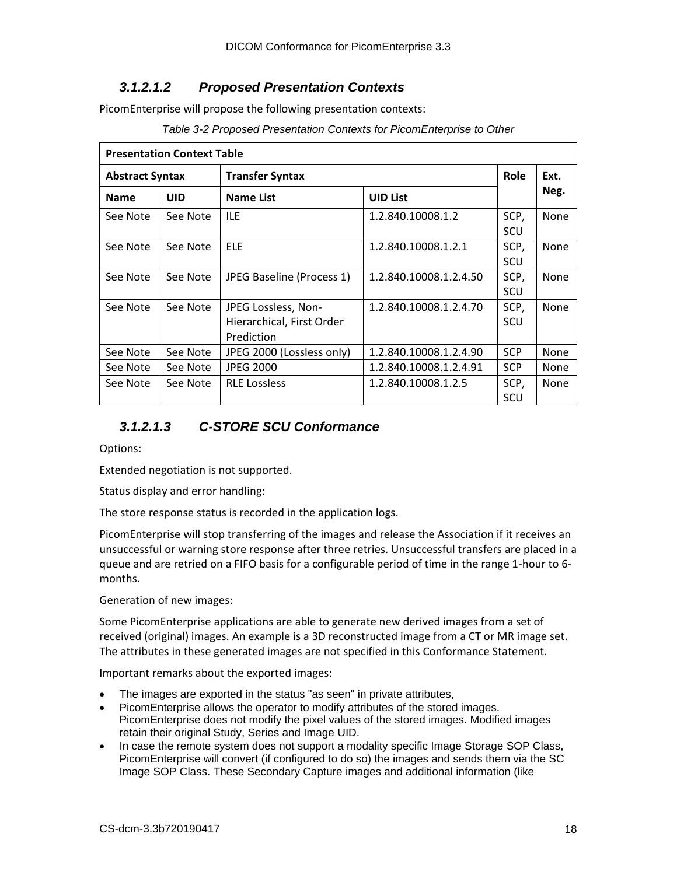#### <span id="page-17-0"></span>*3.1.2.1.2 Proposed Presentation Contexts*

PicomEnterprise will propose the following presentation contexts:

*Table 3-2 Proposed Presentation Contexts for PicomEnterprise to Other*

| <b>Presentation Context Table</b>             |          |                                                                |                        |             |      |  |
|-----------------------------------------------|----------|----------------------------------------------------------------|------------------------|-------------|------|--|
| <b>Abstract Syntax</b>                        |          | <b>Transfer Syntax</b>                                         |                        |             | Ext. |  |
| <b>UID</b><br><b>Name List</b><br><b>Name</b> |          | <b>UID List</b>                                                |                        | Neg.        |      |  |
| See Note                                      | See Note | <b>ILE</b>                                                     | 1.2.840.10008.1.2      | SCP,<br>SCU | None |  |
| See Note                                      | See Note | <b>ELE</b>                                                     | 1.2.840.10008.1.2.1    | SCP,<br>SCU | None |  |
| See Note                                      | See Note | JPEG Baseline (Process 1)                                      | 1.2.840.10008.1.2.4.50 | SCP,<br>SCU | None |  |
| See Note                                      | See Note | JPEG Lossless, Non-<br>Hierarchical, First Order<br>Prediction | 1.2.840.10008.1.2.4.70 | SCP,<br>SCU | None |  |
| See Note                                      | See Note | JPEG 2000 (Lossless only)                                      | 1.2.840.10008.1.2.4.90 | <b>SCP</b>  | None |  |
| See Note                                      | See Note | <b>JPEG 2000</b>                                               | 1.2.840.10008.1.2.4.91 | <b>SCP</b>  | None |  |
| See Note                                      | See Note | <b>RLE Lossless</b>                                            | 1.2.840.10008.1.2.5    | SCP,<br>SCU | None |  |

#### <span id="page-17-1"></span>*3.1.2.1.3 C-STORE SCU Conformance*

Options:

Extended negotiation is not supported.

Status display and error handling:

The store response status is recorded in the application logs.

PicomEnterprise will stop transferring of the images and release the Association if it receives an unsuccessful or warning store response after three retries. Unsuccessful transfers are placed in a queue and are retried on a FIFO basis for a configurable period of time in the range 1-hour to 6 months.

Generation of new images:

Some PicomEnterprise applications are able to generate new derived images from a set of received (original) images. An example is a 3D reconstructed image from a CT or MR image set. The attributes in these generated images are not specified in this Conformance Statement.

Important remarks about the exported images:

- The images are exported in the status "as seen" in private attributes,
- PicomEnterprise allows the operator to modify attributes of the stored images. PicomEnterprise does not modify the pixel values of the stored images. Modified images retain their original Study, Series and Image UID.
- In case the remote system does not support a modality specific Image Storage SOP Class, PicomEnterprise will convert (if configured to do so) the images and sends them via the SC Image SOP Class. These Secondary Capture images and additional information (like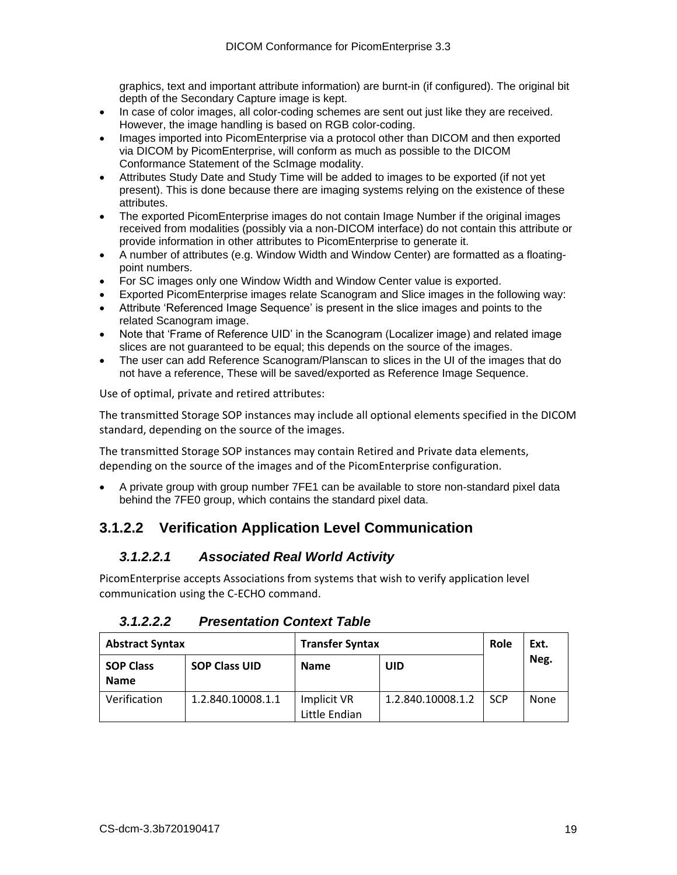graphics, text and important attribute information) are burnt-in (if configured). The original bit depth of the Secondary Capture image is kept.

- In case of color images, all color-coding schemes are sent out just like they are received. However, the image handling is based on RGB color-coding.
- Images imported into PicomEnterprise via a protocol other than DICOM and then exported via DICOM by PicomEnterprise, will conform as much as possible to the DICOM Conformance Statement of the ScImage modality.
- Attributes Study Date and Study Time will be added to images to be exported (if not yet present). This is done because there are imaging systems relying on the existence of these attributes.
- The exported PicomEnterprise images do not contain Image Number if the original images received from modalities (possibly via a non-DICOM interface) do not contain this attribute or provide information in other attributes to PicomEnterprise to generate it.
- A number of attributes (e.g. Window Width and Window Center) are formatted as a floatingpoint numbers.
- For SC images only one Window Width and Window Center value is exported.
- Exported PicomEnterprise images relate Scanogram and Slice images in the following way:
- Attribute 'Referenced Image Sequence' is present in the slice images and points to the related Scanogram image.
- Note that 'Frame of Reference UID' in the Scanogram (Localizer image) and related image slices are not guaranteed to be equal; this depends on the source of the images.
- The user can add Reference Scanogram/Planscan to slices in the UI of the images that do not have a reference, These will be saved/exported as Reference Image Sequence.

Use of optimal, private and retired attributes:

The transmitted Storage SOP instances may include all optional elements specified in the DICOM standard, depending on the source of the images.

The transmitted Storage SOP instances may contain Retired and Private data elements, depending on the source of the images and of the PicomEnterprise configuration.

• A private group with group number 7FE1 can be available to store non-standard pixel data behind the 7FE0 group, which contains the standard pixel data.

## <span id="page-18-1"></span><span id="page-18-0"></span>**3.1.2.2 Verification Application Level Communication**

#### *3.1.2.2.1 Associated Real World Activity*

PicomEnterprise accepts Associations from systems that wish to verify application level communication using the C-ECHO command.

<span id="page-18-2"></span>

| <b>Abstract Syntax</b>          |                      | <b>Transfer Syntax</b>       |                   | Role       | Ext. |
|---------------------------------|----------------------|------------------------------|-------------------|------------|------|
| <b>SOP Class</b><br><b>Name</b> | <b>SOP Class UID</b> | <b>Name</b>                  | UID               |            | Neg. |
| Verification                    | 1.2.840.10008.1.1    | Implicit VR<br>Little Endian | 1.2.840.10008.1.2 | <b>SCP</b> | None |

*3.1.2.2.2 Presentation Context Table*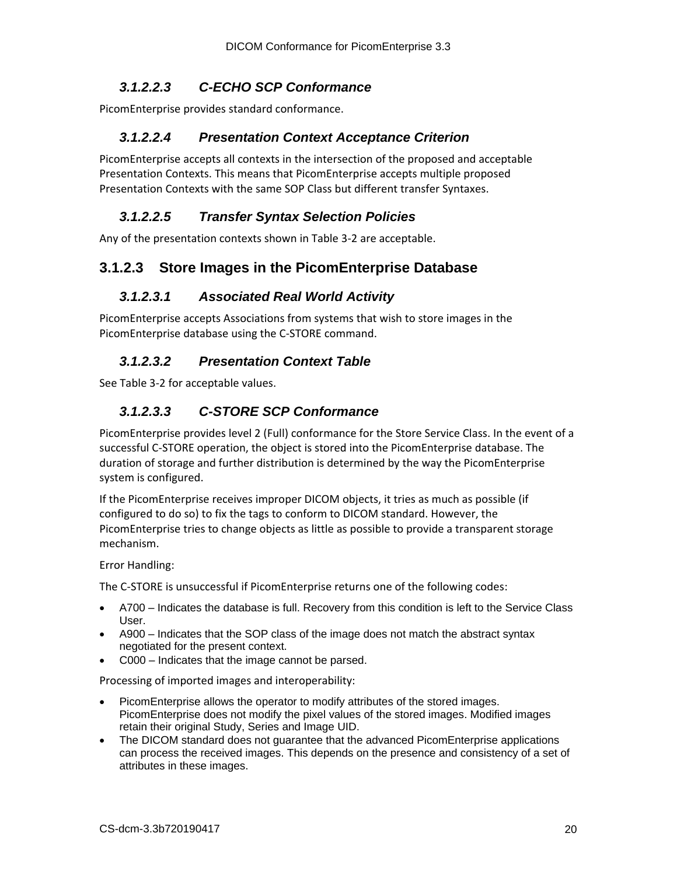#### <span id="page-19-0"></span>*3.1.2.2.3 C-ECHO SCP Conformance*

<span id="page-19-1"></span>PicomEnterprise provides standard conformance.

#### *3.1.2.2.4 Presentation Context Acceptance Criterion*

PicomEnterprise accepts all contexts in the intersection of the proposed and acceptable Presentation Contexts. This means that PicomEnterprise accepts multiple proposed Presentation Contexts with the same SOP Class but different transfer Syntaxes.

#### <span id="page-19-2"></span>*3.1.2.2.5 Transfer Syntax Selection Policies*

Any of the presentation contexts shown in Table 3-2 are acceptable.

### <span id="page-19-4"></span><span id="page-19-3"></span>**3.1.2.3 Store Images in the PicomEnterprise Database**

#### *3.1.2.3.1 Associated Real World Activity*

PicomEnterprise accepts Associations from systems that wish to store images in the PicomEnterprise database using the C-STORE command.

#### <span id="page-19-5"></span>*3.1.2.3.2 Presentation Context Table*

<span id="page-19-6"></span>See Table 3-2 for acceptable values.

#### *3.1.2.3.3 C-STORE SCP Conformance*

PicomEnterprise provides level 2 (Full) conformance for the Store Service Class. In the event of a successful C-STORE operation, the object is stored into the PicomEnterprise database. The duration of storage and further distribution is determined by the way the PicomEnterprise system is configured.

If the PicomEnterprise receives improper DICOM objects, it tries as much as possible (if configured to do so) to fix the tags to conform to DICOM standard. However, the PicomEnterprise tries to change objects as little as possible to provide a transparent storage mechanism.

Error Handling:

The C-STORE is unsuccessful if PicomEnterprise returns one of the following codes:

- A700 Indicates the database is full. Recovery from this condition is left to the Service Class User.
- A900 Indicates that the SOP class of the image does not match the abstract syntax negotiated for the present context.
- C000 Indicates that the image cannot be parsed.

Processing of imported images and interoperability:

- PicomEnterprise allows the operator to modify attributes of the stored images. PicomEnterprise does not modify the pixel values of the stored images. Modified images retain their original Study, Series and Image UID.
- The DICOM standard does not guarantee that the advanced PicomEnterprise applications can process the received images. This depends on the presence and consistency of a set of attributes in these images.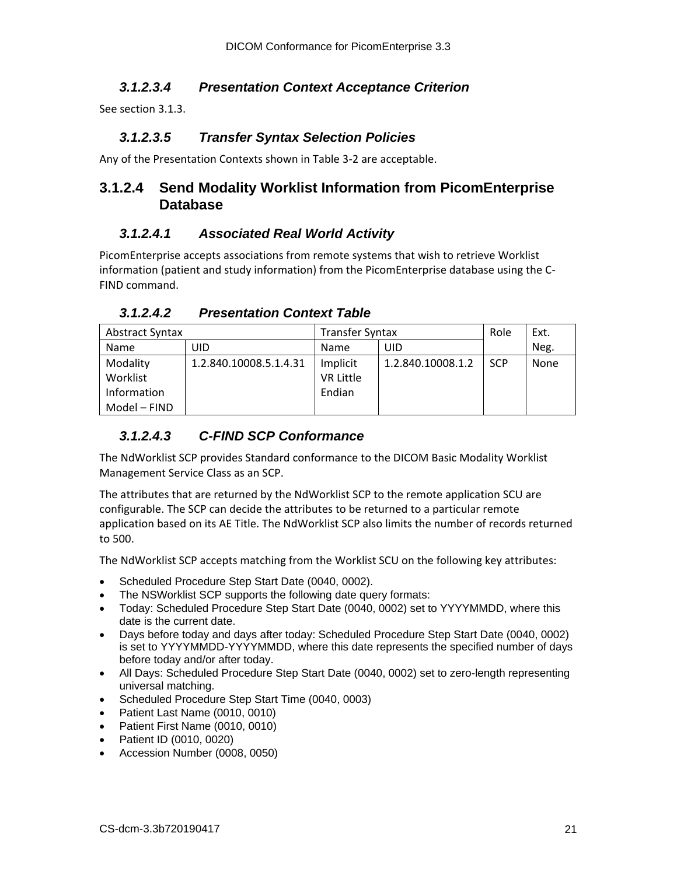#### <span id="page-20-0"></span>*3.1.2.3.4 Presentation Context Acceptance Criterion*

<span id="page-20-1"></span>See section 3.1.3.

#### *3.1.2.3.5 Transfer Syntax Selection Policies*

Any of the Presentation Contexts shown in Table 3-2 are acceptable.

### <span id="page-20-2"></span>**3.1.2.4 Send Modality Worklist Information from PicomEnterprise Database**

#### <span id="page-20-3"></span>*3.1.2.4.1 Associated Real World Activity*

PicomEnterprise accepts associations from remote systems that wish to retrieve Worklist information (patient and study information) from the PicomEnterprise database using the C-FIND command.

*3.1.2.4.2 Presentation Context Table*

<span id="page-20-4"></span>

| Abstract Syntax |                        | <b>Transfer Syntax</b> |                   | Role       | Ext. |
|-----------------|------------------------|------------------------|-------------------|------------|------|
| Name            | UID                    | Name                   | UID               |            | Neg. |
| Modality        | 1.2.840.10008.5.1.4.31 | Implicit               | 1.2.840.10008.1.2 | <b>SCP</b> | None |
| Worklist        |                        | <b>VR Little</b>       |                   |            |      |
| Information     |                        | Endian                 |                   |            |      |
| Model - FIND    |                        |                        |                   |            |      |

#### <span id="page-20-5"></span>*3.1.2.4.3 C-FIND SCP Conformance*

The NdWorklist SCP provides Standard conformance to the DICOM Basic Modality Worklist Management Service Class as an SCP.

The attributes that are returned by the NdWorklist SCP to the remote application SCU are configurable. The SCP can decide the attributes to be returned to a particular remote application based on its AE Title. The NdWorklist SCP also limits the number of records returned to 500.

The NdWorklist SCP accepts matching from the Worklist SCU on the following key attributes:

- Scheduled Procedure Step Start Date (0040, 0002).
- The NSWorklist SCP supports the following date query formats:
- Today: Scheduled Procedure Step Start Date (0040, 0002) set to YYYYMMDD, where this date is the current date.
- Days before today and days after today: Scheduled Procedure Step Start Date (0040, 0002) is set to YYYYMMDD-YYYYMMDD, where this date represents the specified number of days before today and/or after today.
- All Days: Scheduled Procedure Step Start Date (0040, 0002) set to zero-length representing universal matching.
- Scheduled Procedure Step Start Time (0040, 0003)
- Patient Last Name (0010, 0010)
- Patient First Name (0010, 0010)
- Patient ID (0010, 0020)
- Accession Number (0008, 0050)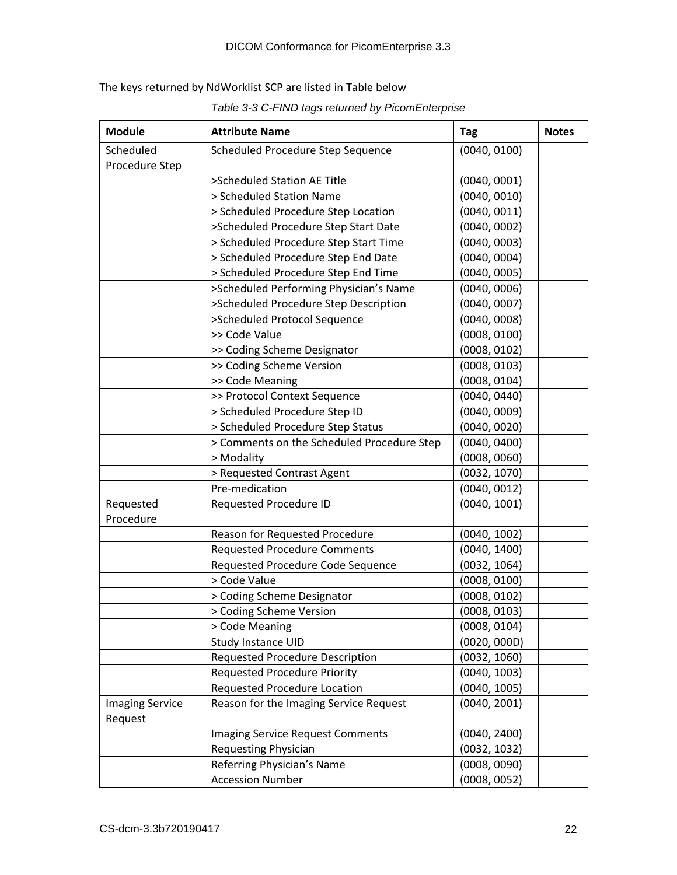The keys returned by NdWorklist SCP are listed in Table below

*Table 3-3 C-FIND tags returned by PicomEnterprise*

| <b>Module</b>                     | <b>Attribute Name</b>                      | <b>Tag</b>   | <b>Notes</b> |
|-----------------------------------|--------------------------------------------|--------------|--------------|
| Scheduled                         | Scheduled Procedure Step Sequence          | (0040, 0100) |              |
| Procedure Step                    |                                            |              |              |
|                                   | >Scheduled Station AE Title                | (0040, 0001) |              |
|                                   | > Scheduled Station Name                   | (0040, 0010) |              |
|                                   | > Scheduled Procedure Step Location        | (0040, 0011) |              |
|                                   | >Scheduled Procedure Step Start Date       | (0040, 0002) |              |
|                                   | > Scheduled Procedure Step Start Time      | (0040, 0003) |              |
|                                   | > Scheduled Procedure Step End Date        | (0040, 0004) |              |
|                                   | > Scheduled Procedure Step End Time        | (0040, 0005) |              |
|                                   | >Scheduled Performing Physician's Name     | (0040, 0006) |              |
|                                   | >Scheduled Procedure Step Description      | (0040, 0007) |              |
|                                   | >Scheduled Protocol Sequence               | (0040, 0008) |              |
|                                   | >> Code Value                              | (0008, 0100) |              |
|                                   | >> Coding Scheme Designator                | (0008, 0102) |              |
|                                   | >> Coding Scheme Version                   | (0008, 0103) |              |
|                                   | >> Code Meaning                            | (0008, 0104) |              |
|                                   | >> Protocol Context Sequence               | (0040, 0440) |              |
|                                   | > Scheduled Procedure Step ID              | (0040, 0009) |              |
|                                   | > Scheduled Procedure Step Status          | (0040, 0020) |              |
|                                   | > Comments on the Scheduled Procedure Step | (0040, 0400) |              |
|                                   | > Modality                                 | (0008, 0060) |              |
|                                   | > Requested Contrast Agent                 | (0032, 1070) |              |
|                                   | Pre-medication                             | (0040, 0012) |              |
| Requested                         | Requested Procedure ID                     | (0040, 1001) |              |
| Procedure                         |                                            |              |              |
|                                   | Reason for Requested Procedure             | (0040, 1002) |              |
|                                   | <b>Requested Procedure Comments</b>        | (0040, 1400) |              |
|                                   | Requested Procedure Code Sequence          | (0032, 1064) |              |
|                                   | > Code Value                               | (0008, 0100) |              |
|                                   | > Coding Scheme Designator                 | (0008, 0102) |              |
|                                   | > Coding Scheme Version                    | (0008, 0103) |              |
|                                   | > Code Meaning                             | (0008, 0104) |              |
|                                   | Study Instance UID                         | (0020, 000D) |              |
|                                   | Requested Procedure Description            | (0032, 1060) |              |
|                                   | <b>Requested Procedure Priority</b>        | (0040, 1003) |              |
|                                   | Requested Procedure Location               | (0040, 1005) |              |
| <b>Imaging Service</b><br>Request | Reason for the Imaging Service Request     | (0040, 2001) |              |
|                                   | <b>Imaging Service Request Comments</b>    | (0040, 2400) |              |
|                                   | <b>Requesting Physician</b>                | (0032, 1032) |              |
|                                   | Referring Physician's Name                 | (0008, 0090) |              |
|                                   | <b>Accession Number</b>                    | (0008, 0052) |              |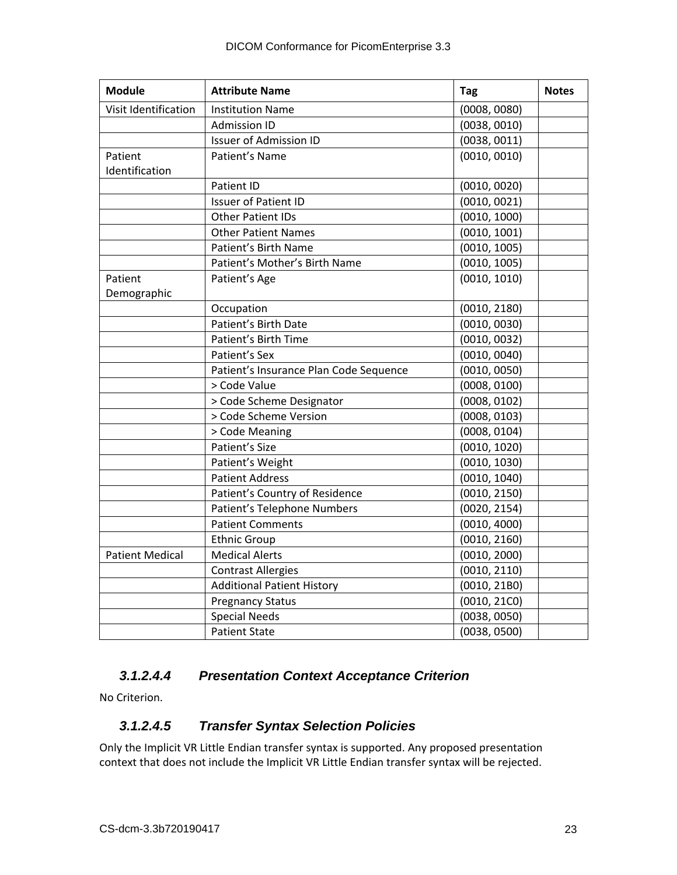| <b>Module</b>          | <b>Attribute Name</b>                  | Tag          | <b>Notes</b> |
|------------------------|----------------------------------------|--------------|--------------|
| Visit Identification   | <b>Institution Name</b>                | (0008, 0080) |              |
|                        | <b>Admission ID</b>                    | (0038, 0010) |              |
|                        | <b>Issuer of Admission ID</b>          | (0038, 0011) |              |
| Patient                | Patient's Name                         | (0010, 0010) |              |
| Identification         |                                        |              |              |
|                        | Patient ID                             | (0010, 0020) |              |
|                        | <b>Issuer of Patient ID</b>            | (0010, 0021) |              |
|                        | <b>Other Patient IDs</b>               | (0010, 1000) |              |
|                        | <b>Other Patient Names</b>             | (0010, 1001) |              |
|                        | Patient's Birth Name                   | (0010, 1005) |              |
|                        | Patient's Mother's Birth Name          | (0010, 1005) |              |
| Patient                | Patient's Age                          | (0010, 1010) |              |
| Demographic            |                                        |              |              |
|                        | Occupation                             | (0010, 2180) |              |
|                        | Patient's Birth Date                   | (0010, 0030) |              |
|                        | Patient's Birth Time                   | (0010, 0032) |              |
|                        | Patient's Sex                          | (0010, 0040) |              |
|                        | Patient's Insurance Plan Code Sequence | (0010, 0050) |              |
|                        | > Code Value                           | (0008, 0100) |              |
|                        | > Code Scheme Designator               | (0008, 0102) |              |
|                        | > Code Scheme Version                  | (0008, 0103) |              |
|                        | > Code Meaning                         | (0008, 0104) |              |
|                        | Patient's Size                         | (0010, 1020) |              |
|                        | Patient's Weight                       | (0010, 1030) |              |
|                        | <b>Patient Address</b>                 | (0010, 1040) |              |
|                        | Patient's Country of Residence         | (0010, 2150) |              |
|                        | Patient's Telephone Numbers            | (0020, 2154) |              |
|                        | <b>Patient Comments</b>                | (0010, 4000) |              |
|                        | <b>Ethnic Group</b>                    | (0010, 2160) |              |
| <b>Patient Medical</b> | <b>Medical Alerts</b>                  | (0010, 2000) |              |
|                        | <b>Contrast Allergies</b>              | (0010, 2110) |              |
|                        | <b>Additional Patient History</b>      | (0010, 21B0) |              |
|                        | <b>Pregnancy Status</b>                | (0010, 21C0) |              |
|                        | <b>Special Needs</b>                   | (0038, 0050) |              |
|                        | <b>Patient State</b>                   | (0038, 0500) |              |

#### <span id="page-22-0"></span>*3.1.2.4.4 Presentation Context Acceptance Criterion*

<span id="page-22-1"></span>No Criterion.

#### *3.1.2.4.5 Transfer Syntax Selection Policies*

Only the Implicit VR Little Endian transfer syntax is supported. Any proposed presentation context that does not include the Implicit VR Little Endian transfer syntax will be rejected.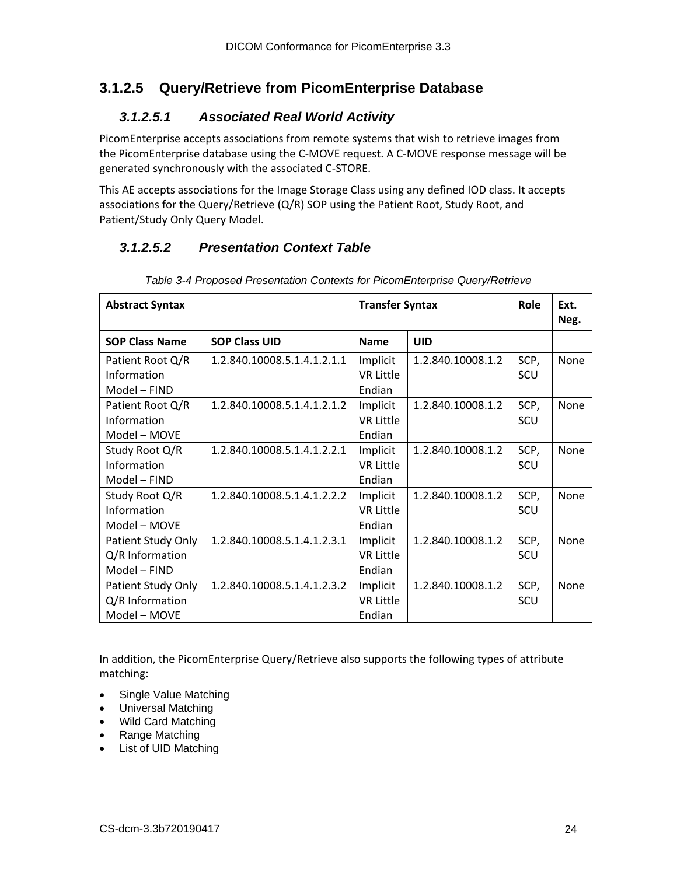## <span id="page-23-1"></span><span id="page-23-0"></span>**3.1.2.5 Query/Retrieve from PicomEnterprise Database**

#### *3.1.2.5.1 Associated Real World Activity*

PicomEnterprise accepts associations from remote systems that wish to retrieve images from the PicomEnterprise database using the C-MOVE request. A C-MOVE response message will be generated synchronously with the associated C-STORE.

This AE accepts associations for the Image Storage Class using any defined IOD class. It accepts associations for the Query/Retrieve (Q/R) SOP using the Patient Root, Study Root, and Patient/Study Only Query Model.

### <span id="page-23-2"></span>*3.1.2.5.2 Presentation Context Table*

| <b>Abstract Syntax</b>                                |                             | <b>Transfer Syntax</b>                 |                   | Role        | Ext.<br>Neg. |
|-------------------------------------------------------|-----------------------------|----------------------------------------|-------------------|-------------|--------------|
| <b>SOP Class Name</b>                                 | <b>SOP Class UID</b>        | <b>Name</b>                            | <b>UID</b>        |             |              |
| Patient Root Q/R<br>Information<br>Model - FIND       | 1.2.840.10008.5.1.4.1.2.1.1 | Implicit<br><b>VR Little</b><br>Endian | 1.2.840.10008.1.2 | SCP,<br>SCU | None         |
| Patient Root Q/R<br>Information<br>Model - MOVE       | 1.2.840.10008.5.1.4.1.2.1.2 | Implicit<br><b>VR Little</b><br>Endian | 1.2.840.10008.1.2 | SCP,<br>SCU | None         |
| Study Root Q/R<br>Information<br>Model - FIND         | 1.2.840.10008.5.1.4.1.2.2.1 | Implicit<br><b>VR Little</b><br>Endian | 1.2.840.10008.1.2 | SCP,<br>SCU | None         |
| Study Root Q/R<br>Information<br>Model - MOVE         | 1.2.840.10008.5.1.4.1.2.2.2 | Implicit<br><b>VR Little</b><br>Endian | 1.2.840.10008.1.2 | SCP,<br>SCU | <b>None</b>  |
| Patient Study Only<br>Q/R Information<br>Model - FIND | 1.2.840.10008.5.1.4.1.2.3.1 | Implicit<br><b>VR Little</b><br>Endian | 1.2.840.10008.1.2 | SCP,<br>SCU | None         |
| Patient Study Only<br>Q/R Information<br>Model - MOVE | 1.2.840.10008.5.1.4.1.2.3.2 | Implicit<br><b>VR Little</b><br>Endian | 1.2.840.10008.1.2 | SCP,<br>SCU | None         |

*Table 3-4 Proposed Presentation Contexts for PicomEnterprise Query/Retrieve*

In addition, the PicomEnterprise Query/Retrieve also supports the following types of attribute matching:

- Single Value Matching
- Universal Matching
- Wild Card Matching
- Range Matching
- List of UID Matching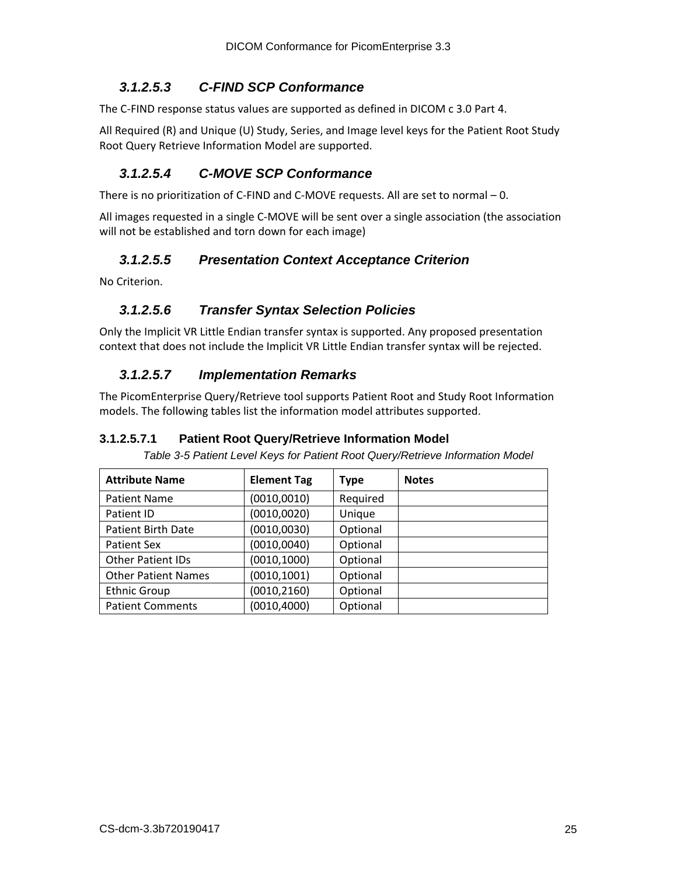#### <span id="page-24-0"></span>*3.1.2.5.3 C-FIND SCP Conformance*

The C-FIND response status values are supported as defined in DICOM c 3.0 Part 4.

All Required (R) and Unique (U) Study, Series, and Image level keys for the Patient Root Study Root Query Retrieve Information Model are supported.

#### <span id="page-24-1"></span>*3.1.2.5.4 C-MOVE SCP Conformance*

There is no prioritization of C-FIND and C-MOVE requests. All are set to normal – 0.

All images requested in a single C-MOVE will be sent over a single association (the association will not be established and torn down for each image)

#### <span id="page-24-2"></span>*3.1.2.5.5 Presentation Context Acceptance Criterion*

<span id="page-24-3"></span>No Criterion.

#### *3.1.2.5.6 Transfer Syntax Selection Policies*

Only the Implicit VR Little Endian transfer syntax is supported. Any proposed presentation context that does not include the Implicit VR Little Endian transfer syntax will be rejected.

#### <span id="page-24-4"></span>*3.1.2.5.7 Implementation Remarks*

The PicomEnterprise Query/Retrieve tool supports Patient Root and Study Root Information models. The following tables list the information model attributes supported.

#### <span id="page-24-5"></span>**3.1.2.5.7.1 Patient Root Query/Retrieve Information Model**

*Table 3-5 Patient Level Keys for Patient Root Query/Retrieve Information Model*

| <b>Attribute Name</b>      | <b>Element Tag</b> | Type     | <b>Notes</b> |
|----------------------------|--------------------|----------|--------------|
| <b>Patient Name</b>        | (0010, 0010)       | Required |              |
| Patient ID                 | (0010, 0020)       | Unique   |              |
| <b>Patient Birth Date</b>  | (0010, 0030)       | Optional |              |
| <b>Patient Sex</b>         | (0010, 0040)       | Optional |              |
| <b>Other Patient IDs</b>   | (0010, 1000)       | Optional |              |
| <b>Other Patient Names</b> | (0010, 1001)       | Optional |              |
| <b>Ethnic Group</b>        | (0010, 2160)       | Optional |              |
| <b>Patient Comments</b>    | (0010, 4000)       | Optional |              |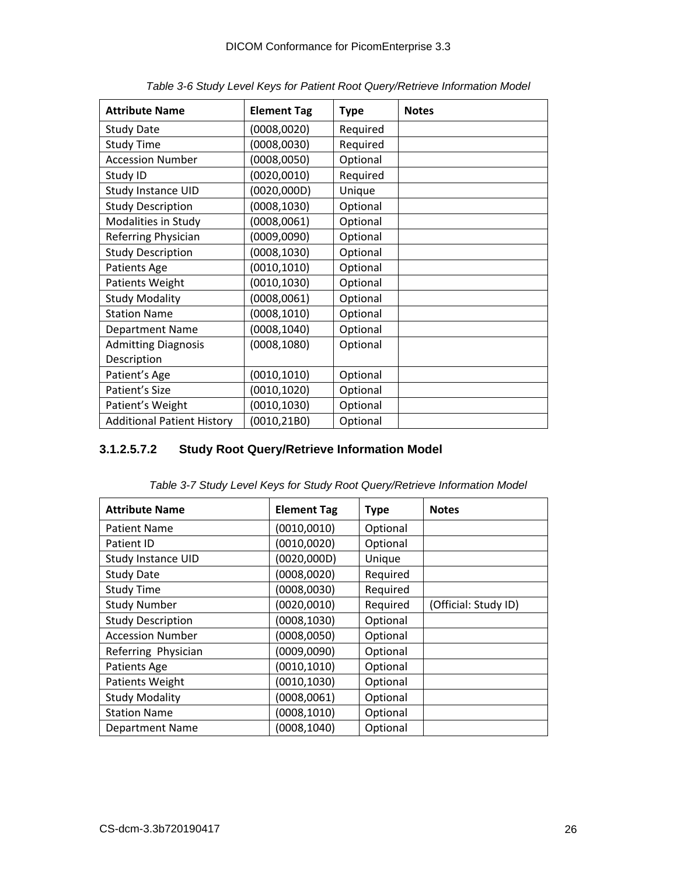| <b>Attribute Name</b>             | <b>Element Tag</b> | <b>Type</b> | <b>Notes</b> |
|-----------------------------------|--------------------|-------------|--------------|
| <b>Study Date</b>                 | (0008, 0020)       | Required    |              |
| <b>Study Time</b>                 | (0008, 0030)       | Required    |              |
| <b>Accession Number</b>           | (0008, 0050)       | Optional    |              |
| Study ID                          | (0020, 0010)       | Required    |              |
| <b>Study Instance UID</b>         | (0020,000D)        | Unique      |              |
| <b>Study Description</b>          | (0008, 1030)       | Optional    |              |
| Modalities in Study               | (0008, 0061)       | Optional    |              |
| Referring Physician               | (0009, 0090)       | Optional    |              |
| <b>Study Description</b>          | (0008, 1030)       | Optional    |              |
| Patients Age                      | (0010, 1010)       | Optional    |              |
| Patients Weight                   | (0010, 1030)       | Optional    |              |
| <b>Study Modality</b>             | (0008, 0061)       | Optional    |              |
| <b>Station Name</b>               | (0008, 1010)       | Optional    |              |
| <b>Department Name</b>            | (0008, 1040)       | Optional    |              |
| <b>Admitting Diagnosis</b>        | (0008, 1080)       | Optional    |              |
| Description                       |                    |             |              |
| Patient's Age                     | (0010, 1010)       | Optional    |              |
| Patient's Size                    | (0010, 1020)       | Optional    |              |
| Patient's Weight                  | (0010,1030)        | Optional    |              |
| <b>Additional Patient History</b> | (0010,21B0)        | Optional    |              |

*Table 3-6 Study Level Keys for Patient Root Query/Retrieve Information Model*

#### <span id="page-25-0"></span>**3.1.2.5.7.2 Study Root Query/Retrieve Information Model**

| <b>Attribute Name</b>     | <b>Element Tag</b> | <b>Type</b> | <b>Notes</b>         |
|---------------------------|--------------------|-------------|----------------------|
|                           |                    |             |                      |
| <b>Patient Name</b>       | (0010, 0010)       | Optional    |                      |
| Patient ID                | (0010, 0020)       | Optional    |                      |
| <b>Study Instance UID</b> | (0020, 000D)       | Unique      |                      |
| <b>Study Date</b>         | (0008, 0020)       | Required    |                      |
| <b>Study Time</b>         | (0008, 0030)       | Required    |                      |
| <b>Study Number</b>       | (0020, 0010)       | Required    | (Official: Study ID) |
| <b>Study Description</b>  | (0008, 1030)       | Optional    |                      |
| <b>Accession Number</b>   | (0008, 0050)       | Optional    |                      |
| Referring Physician       | (0009, 0090)       | Optional    |                      |
| Patients Age              | (0010, 1010)       | Optional    |                      |
| Patients Weight           | (0010, 1030)       | Optional    |                      |
| <b>Study Modality</b>     | (0008, 0061)       | Optional    |                      |
| <b>Station Name</b>       | (0008, 1010)       | Optional    |                      |
| <b>Department Name</b>    | (0008, 1040)       | Optional    |                      |

*Table 3-7 Study Level Keys for Study Root Query/Retrieve Information Model*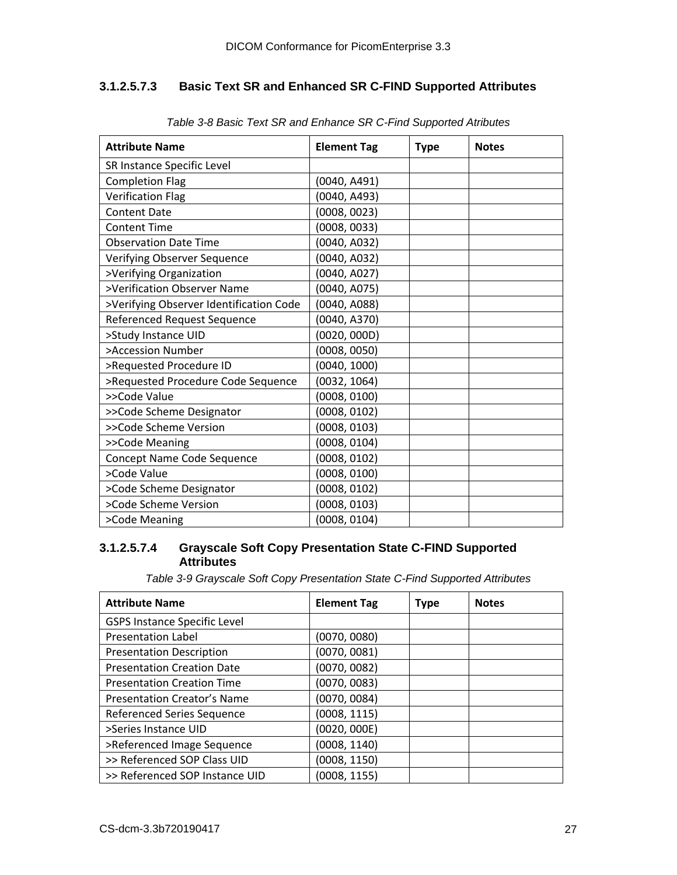#### <span id="page-26-0"></span>**3.1.2.5.7.3 Basic Text SR and Enhanced SR C-FIND Supported Attributes**

| <b>Attribute Name</b>                   | <b>Element Tag</b> | <b>Type</b> | <b>Notes</b> |
|-----------------------------------------|--------------------|-------------|--------------|
| SR Instance Specific Level              |                    |             |              |
| <b>Completion Flag</b>                  | (0040, A491)       |             |              |
| <b>Verification Flag</b>                | (0040, A493)       |             |              |
| <b>Content Date</b>                     | (0008, 0023)       |             |              |
| <b>Content Time</b>                     | (0008, 0033)       |             |              |
| <b>Observation Date Time</b>            | (0040, A032)       |             |              |
| Verifying Observer Sequence             | (0040, A032)       |             |              |
| >Verifying Organization                 | (0040, A027)       |             |              |
| >Verification Observer Name             | (0040, A075)       |             |              |
| >Verifying Observer Identification Code | (0040, A088)       |             |              |
| Referenced Request Sequence             | (0040, A370)       |             |              |
| >Study Instance UID                     | (0020, 000D)       |             |              |
| >Accession Number                       | (0008, 0050)       |             |              |
| >Requested Procedure ID                 | (0040, 1000)       |             |              |
| >Requested Procedure Code Sequence      | (0032, 1064)       |             |              |
| >>Code Value                            | (0008, 0100)       |             |              |
| >>Code Scheme Designator                | (0008, 0102)       |             |              |
| >>Code Scheme Version                   | (0008, 0103)       |             |              |
| >>Code Meaning                          | (0008, 0104)       |             |              |
| Concept Name Code Sequence              | (0008, 0102)       |             |              |
| >Code Value                             | (0008, 0100)       |             |              |
| >Code Scheme Designator                 | (0008, 0102)       |             |              |
| >Code Scheme Version                    | (0008, 0103)       |             |              |
| >Code Meaning                           | (0008, 0104)       |             |              |

*Table 3-8 Basic Text SR and Enhance SR C-Find Supported Atributes*

#### <span id="page-26-1"></span>**3.1.2.5.7.4 Grayscale Soft Copy Presentation State C-FIND Supported Attributes**

*Table 3-9 Grayscale Soft Copy Presentation State C-Find Supported Attributes*

| <b>Attribute Name</b>               | <b>Element Tag</b> | <b>Type</b> | <b>Notes</b> |
|-------------------------------------|--------------------|-------------|--------------|
| <b>GSPS Instance Specific Level</b> |                    |             |              |
| <b>Presentation Label</b>           | (0070, 0080)       |             |              |
| <b>Presentation Description</b>     | (0070, 0081)       |             |              |
| <b>Presentation Creation Date</b>   | (0070, 0082)       |             |              |
| <b>Presentation Creation Time</b>   | (0070, 0083)       |             |              |
| <b>Presentation Creator's Name</b>  | (0070, 0084)       |             |              |
| Referenced Series Sequence          | (0008, 1115)       |             |              |
| >Series Instance UID                | (0020, 000E)       |             |              |
| >Referenced Image Sequence          | (0008, 1140)       |             |              |
| >> Referenced SOP Class UID         | (0008, 1150)       |             |              |
| >> Referenced SOP Instance UID      | (0008, 1155)       |             |              |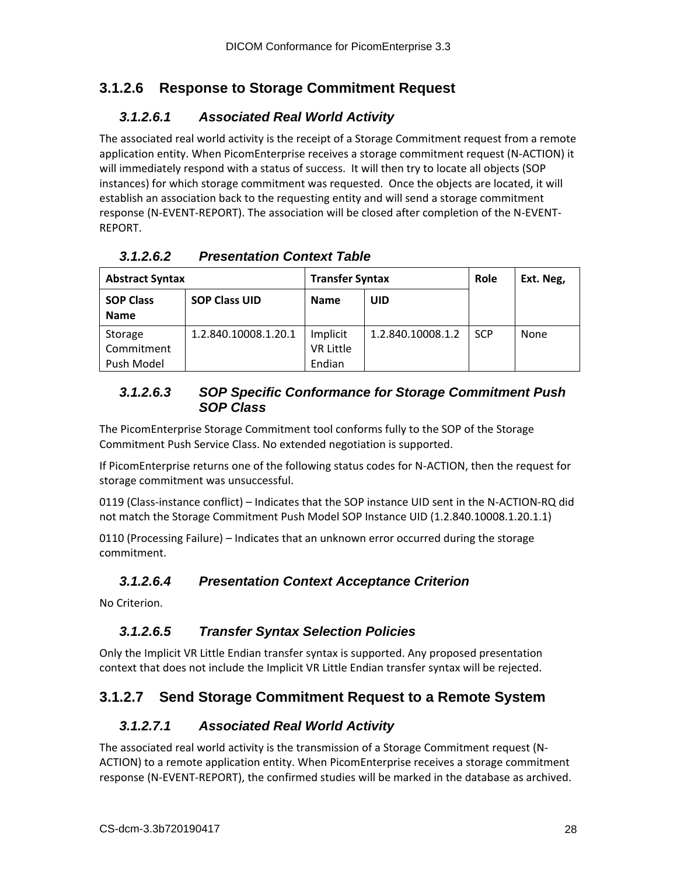## <span id="page-27-1"></span><span id="page-27-0"></span>**3.1.2.6 Response to Storage Commitment Request**

### *3.1.2.6.1 Associated Real World Activity*

The associated real world activity is the receipt of a Storage Commitment request from a remote application entity. When PicomEnterprise receives a storage commitment request (N-ACTION) it will immediately respond with a status of success. It will then try to locate all objects (SOP instances) for which storage commitment was requested. Once the objects are located, it will establish an association back to the requesting entity and will send a storage commitment response (N-EVENT-REPORT). The association will be closed after completion of the N-EVENT-REPORT.

| <b>Abstract Syntax</b> |                      | <b>Transfer Syntax</b> |                   | Ext. Neg,  |      |
|------------------------|----------------------|------------------------|-------------------|------------|------|
| <b>SOP Class</b>       | <b>SOP Class UID</b> | <b>Name</b>            | UID               |            |      |
| <b>Name</b>            |                      |                        |                   |            |      |
| Storage                | 1.2.840.10008.1.20.1 | Implicit               | 1.2.840.10008.1.2 | <b>SCP</b> | None |
| Commitment             |                      | <b>VR Little</b>       |                   |            |      |
| Push Model             |                      | Endian                 |                   |            |      |

<span id="page-27-2"></span>*3.1.2.6.2 Presentation Context Table*

#### <span id="page-27-3"></span>*3.1.2.6.3 SOP Specific Conformance for Storage Commitment Push SOP Class*

The PicomEnterprise Storage Commitment tool conforms fully to the SOP of the Storage Commitment Push Service Class. No extended negotiation is supported.

If PicomEnterprise returns one of the following status codes for N-ACTION, then the request for storage commitment was unsuccessful.

0119 (Class-instance conflict) – Indicates that the SOP instance UID sent in the N-ACTION-RQ did not match the Storage Commitment Push Model SOP Instance UID (1.2.840.10008.1.20.1.1)

0110 (Processing Failure) – Indicates that an unknown error occurred during the storage commitment.

#### <span id="page-27-4"></span>*3.1.2.6.4 Presentation Context Acceptance Criterion*

<span id="page-27-5"></span>No Criterion.

## *3.1.2.6.5 Transfer Syntax Selection Policies*

Only the Implicit VR Little Endian transfer syntax is supported. Any proposed presentation context that does not include the Implicit VR Little Endian transfer syntax will be rejected.

## <span id="page-27-7"></span><span id="page-27-6"></span>**3.1.2.7 Send Storage Commitment Request to a Remote System**

#### *3.1.2.7.1 Associated Real World Activity*

The associated real world activity is the transmission of a Storage Commitment request (N-ACTION) to a remote application entity. When PicomEnterprise receives a storage commitment response (N-EVENT-REPORT), the confirmed studies will be marked in the database as archived.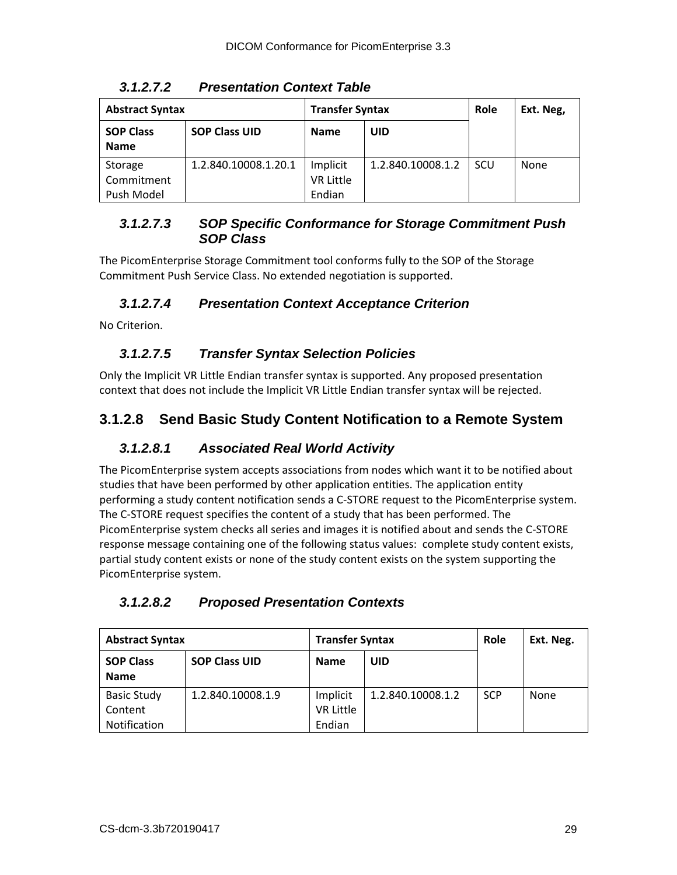<span id="page-28-0"></span>

| <b>Abstract Syntax</b>          |                      | <b>Transfer Syntax</b>       |                   | Role | Ext. Neg, |
|---------------------------------|----------------------|------------------------------|-------------------|------|-----------|
| <b>SOP Class</b><br><b>Name</b> | <b>SOP Class UID</b> | <b>Name</b>                  | UID               |      |           |
| Storage<br>Commitment           | 1.2.840.10008.1.20.1 | Implicit<br><b>VR Little</b> | 1.2.840.10008.1.2 | SCU  | None      |
| Push Model                      |                      | Endian                       |                   |      |           |

*3.1.2.7.2 Presentation Context Table*

#### <span id="page-28-1"></span>*3.1.2.7.3 SOP Specific Conformance for Storage Commitment Push SOP Class*

The PicomEnterprise Storage Commitment tool conforms fully to the SOP of the Storage Commitment Push Service Class. No extended negotiation is supported.

### <span id="page-28-2"></span>*3.1.2.7.4 Presentation Context Acceptance Criterion*

<span id="page-28-3"></span>No Criterion.

### *3.1.2.7.5 Transfer Syntax Selection Policies*

Only the Implicit VR Little Endian transfer syntax is supported. Any proposed presentation context that does not include the Implicit VR Little Endian transfer syntax will be rejected.

## <span id="page-28-5"></span><span id="page-28-4"></span>**3.1.2.8 Send Basic Study Content Notification to a Remote System**

#### *3.1.2.8.1 Associated Real World Activity*

The PicomEnterprise system accepts associations from nodes which want it to be notified about studies that have been performed by other application entities. The application entity performing a study content notification sends a C-STORE request to the PicomEnterprise system. The C-STORE request specifies the content of a study that has been performed. The PicomEnterprise system checks all series and images it is notified about and sends the C-STORE response message containing one of the following status values: complete study content exists, partial study content exists or none of the study content exists on the system supporting the PicomEnterprise system.

#### <span id="page-28-6"></span>*3.1.2.8.2 Proposed Presentation Contexts*

| <b>Abstract Syntax</b>          |                      | <b>Transfer Syntax</b> |                   | Role       | Ext. Neg. |
|---------------------------------|----------------------|------------------------|-------------------|------------|-----------|
| <b>SOP Class</b><br><b>Name</b> | <b>SOP Class UID</b> | <b>Name</b>            | UID               |            |           |
|                                 |                      |                        |                   |            |           |
| <b>Basic Study</b>              | 1.2.840.10008.1.9    | Implicit               | 1.2.840.10008.1.2 | <b>SCP</b> | None      |
| Content                         |                      | <b>VR Little</b>       |                   |            |           |
| Notification                    |                      | Endian                 |                   |            |           |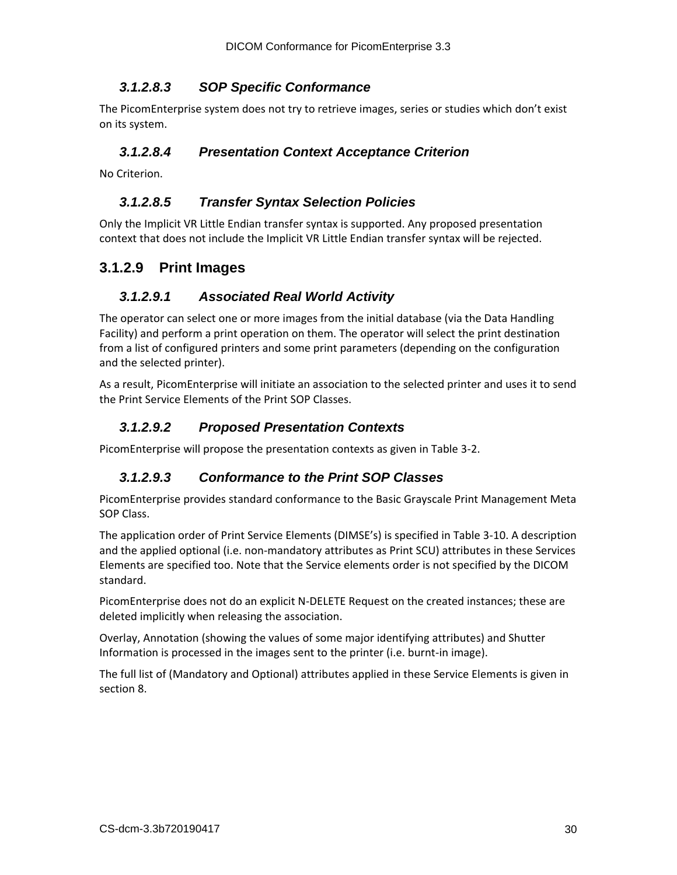#### *3.1.2.8.3 SOP Specific Conformance*

<span id="page-29-0"></span>The PicomEnterprise system does not try to retrieve images, series or studies which don't exist on its system.

#### <span id="page-29-1"></span>*3.1.2.8.4 Presentation Context Acceptance Criterion*

<span id="page-29-2"></span>No Criterion.

#### *3.1.2.8.5 Transfer Syntax Selection Policies*

Only the Implicit VR Little Endian transfer syntax is supported. Any proposed presentation context that does not include the Implicit VR Little Endian transfer syntax will be rejected.

## <span id="page-29-4"></span><span id="page-29-3"></span>**3.1.2.9 Print Images**

#### *3.1.2.9.1 Associated Real World Activity*

The operator can select one or more images from the initial database (via the Data Handling Facility) and perform a print operation on them. The operator will select the print destination from a list of configured printers and some print parameters (depending on the configuration and the selected printer).

As a result, PicomEnterprise will initiate an association to the selected printer and uses it to send the Print Service Elements of the Print SOP Classes.

#### <span id="page-29-5"></span>*3.1.2.9.2 Proposed Presentation Contexts*

<span id="page-29-6"></span>PicomEnterprise will propose the presentation contexts as given in Table 3-2.

#### *3.1.2.9.3 Conformance to the Print SOP Classes*

PicomEnterprise provides standard conformance to the Basic Grayscale Print Management Meta SOP Class.

The application order of Print Service Elements (DIMSE's) is specified in Table 3-10. A description and the applied optional (i.e. non-mandatory attributes as Print SCU) attributes in these Services Elements are specified too. Note that the Service elements order is not specified by the DICOM standard.

PicomEnterprise does not do an explicit N-DELETE Request on the created instances; these are deleted implicitly when releasing the association.

Overlay, Annotation (showing the values of some major identifying attributes) and Shutter Information is processed in the images sent to the printer (i.e. burnt-in image).

The full list of (Mandatory and Optional) attributes applied in these Service Elements is given in section 8.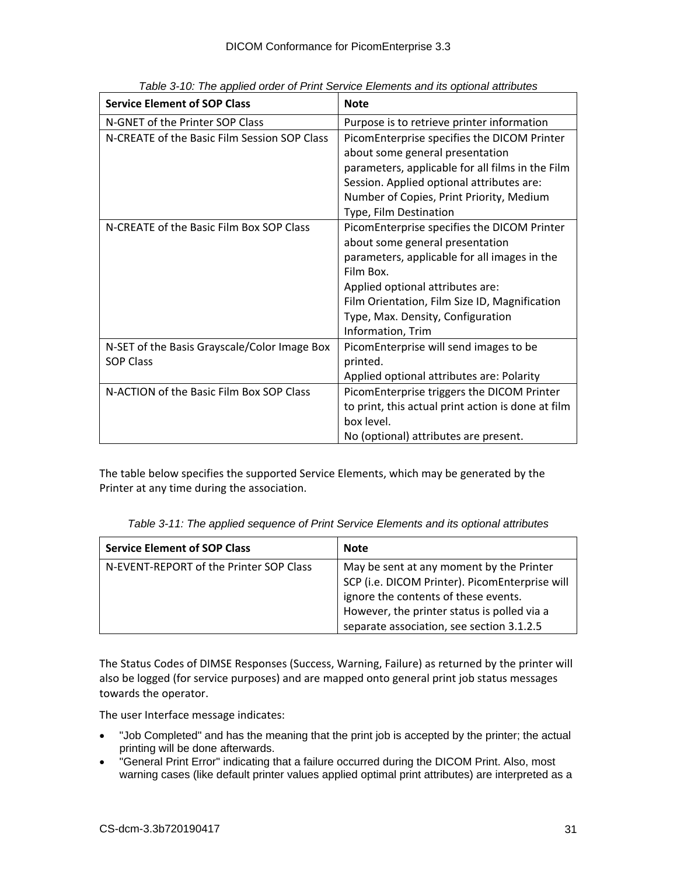| <b>Service Element of SOP Class</b>          | <b>Note</b>                                        |
|----------------------------------------------|----------------------------------------------------|
| N-GNET of the Printer SOP Class              | Purpose is to retrieve printer information         |
| N-CREATE of the Basic Film Session SOP Class | PicomEnterprise specifies the DICOM Printer        |
|                                              | about some general presentation                    |
|                                              | parameters, applicable for all films in the Film   |
|                                              | Session. Applied optional attributes are:          |
|                                              | Number of Copies, Print Priority, Medium           |
|                                              | Type, Film Destination                             |
| N-CREATE of the Basic Film Box SOP Class     | PicomEnterprise specifies the DICOM Printer        |
|                                              | about some general presentation                    |
|                                              | parameters, applicable for all images in the       |
|                                              | Film Box.                                          |
|                                              | Applied optional attributes are:                   |
|                                              | Film Orientation, Film Size ID, Magnification      |
|                                              | Type, Max. Density, Configuration                  |
|                                              | Information, Trim                                  |
| N-SET of the Basis Grayscale/Color Image Box | PicomEnterprise will send images to be             |
| <b>SOP Class</b>                             | printed.                                           |
|                                              | Applied optional attributes are: Polarity          |
| N-ACTION of the Basic Film Box SOP Class     | PicomEnterprise triggers the DICOM Printer         |
|                                              | to print, this actual print action is done at film |
|                                              | box level.                                         |
|                                              | No (optional) attributes are present.              |

*Table 3-10: The applied order of Print Service Elements and its optional attributes*

The table below specifies the supported Service Elements, which may be generated by the Printer at any time during the association.

| Table of The applied sequence of Film ochnice Lichtenis and no optional attitudes |                                                |  |  |  |
|-----------------------------------------------------------------------------------|------------------------------------------------|--|--|--|
| <b>Service Element of SOP Class</b>                                               | <b>Note</b>                                    |  |  |  |
| N-EVENT-REPORT of the Printer SOP Class                                           | May be sent at any moment by the Printer       |  |  |  |
|                                                                                   | SCP (i.e. DICOM Printer). PicomEnterprise will |  |  |  |
|                                                                                   | ignore the contents of these events.           |  |  |  |

However, the printer status is polled via a separate association, see section 3.1.2.5

*Table 3-11: The applied sequence of Print Service Elements and its optional attributes*

The Status Codes of DIMSE Responses (Success, Warning, Failure) as returned by the printer will also be logged (for service purposes) and are mapped onto general print job status messages towards the operator.

The user Interface message indicates:

- "Job Completed" and has the meaning that the print job is accepted by the printer; the actual printing will be done afterwards.
- "General Print Error" indicating that a failure occurred during the DICOM Print. Also, most warning cases (like default printer values applied optimal print attributes) are interpreted as a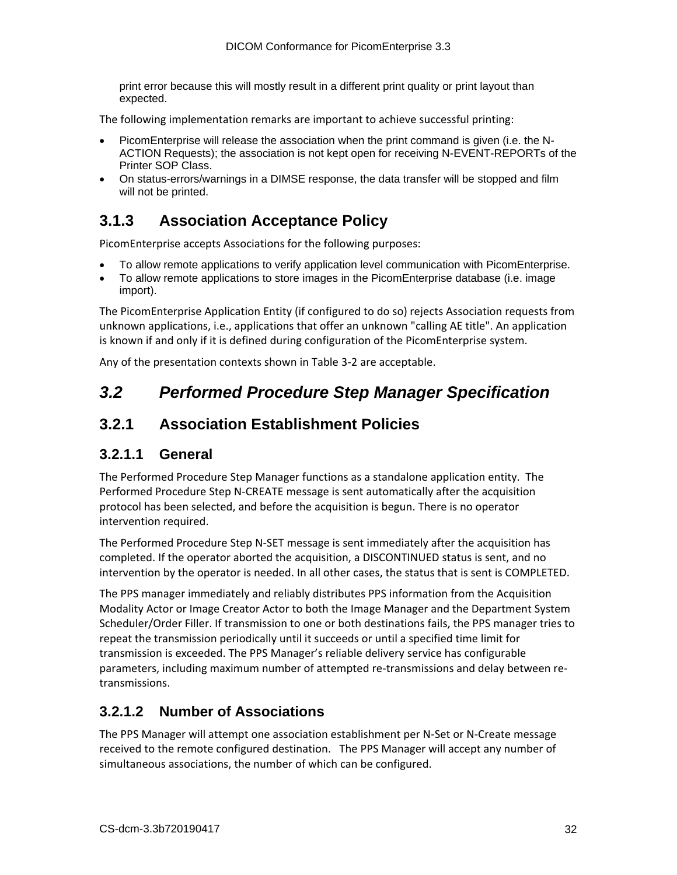print error because this will mostly result in a different print quality or print layout than expected.

The following implementation remarks are important to achieve successful printing:

- PicomEnterprise will release the association when the print command is given (i.e. the N-ACTION Requests); the association is not kept open for receiving N-EVENT-REPORTs of the Printer SOP Class.
- On status-errors/warnings in a DIMSE response, the data transfer will be stopped and film will not be printed.

## <span id="page-31-0"></span>**3.1.3 Association Acceptance Policy**

PicomEnterprise accepts Associations for the following purposes:

- To allow remote applications to verify application level communication with PicomEnterprise.
- To allow remote applications to store images in the PicomEnterprise database (i.e. image import).

The PicomEnterprise Application Entity (if configured to do so) rejects Association requests from unknown applications, i.e., applications that offer an unknown "calling AE title". An application is known if and only if it is defined during configuration of the PicomEnterprise system.

Any of the presentation contexts shown in Table 3-2 are acceptable.

## <span id="page-31-1"></span>*3.2 Performed Procedure Step Manager Specification*

## <span id="page-31-2"></span>**3.2.1 Association Establishment Policies**

## <span id="page-31-3"></span>**3.2.1.1 General**

The Performed Procedure Step Manager functions as a standalone application entity. The Performed Procedure Step N-CREATE message is sent automatically after the acquisition protocol has been selected, and before the acquisition is begun. There is no operator intervention required.

The Performed Procedure Step N-SET message is sent immediately after the acquisition has completed. If the operator aborted the acquisition, a DISCONTINUED status is sent, and no intervention by the operator is needed. In all other cases, the status that is sent is COMPLETED.

The PPS manager immediately and reliably distributes PPS information from the Acquisition Modality Actor or Image Creator Actor to both the Image Manager and the Department System Scheduler/Order Filler. If transmission to one or both destinations fails, the PPS manager tries to repeat the transmission periodically until it succeeds or until a specified time limit for transmission is exceeded. The PPS Manager's reliable delivery service has configurable parameters, including maximum number of attempted re-transmissions and delay between retransmissions.

## <span id="page-31-4"></span>**3.2.1.2 Number of Associations**

The PPS Manager will attempt one association establishment per N-Set or N-Create message received to the remote configured destination. The PPS Manager will accept any number of simultaneous associations, the number of which can be configured.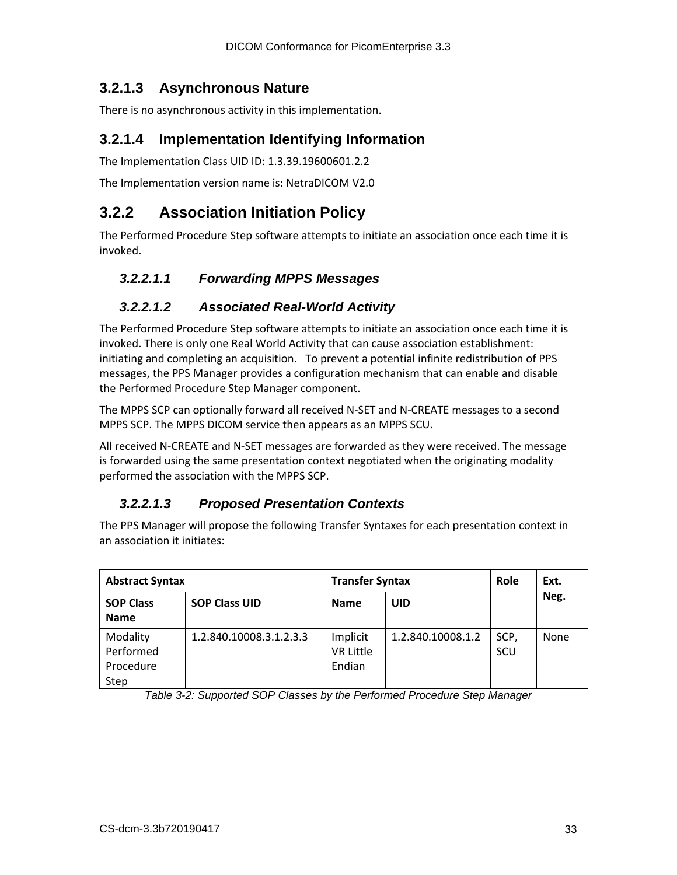## <span id="page-32-0"></span>**3.2.1.3 Asynchronous Nature**

There is no asynchronous activity in this implementation.

### <span id="page-32-1"></span>**3.2.1.4 Implementation Identifying Information**

The Implementation Class UID ID: 1.3.39.19600601.2.2

The Implementation version name is: NetraDICOM V2.0

## <span id="page-32-2"></span>**3.2.2 Association Initiation Policy**

The Performed Procedure Step software attempts to initiate an association once each time it is invoked.

#### <span id="page-32-3"></span>*3.2.2.1.1 Forwarding MPPS Messages*

#### <span id="page-32-4"></span>*3.2.2.1.2 Associated Real-World Activity*

The Performed Procedure Step software attempts to initiate an association once each time it is invoked. There is only one Real World Activity that can cause association establishment: initiating and completing an acquisition. To prevent a potential infinite redistribution of PPS messages, the PPS Manager provides a configuration mechanism that can enable and disable the Performed Procedure Step Manager component.

The MPPS SCP can optionally forward all received N-SET and N-CREATE messages to a second MPPS SCP. The MPPS DICOM service then appears as an MPPS SCU.

All received N-CREATE and N-SET messages are forwarded as they were received. The message is forwarded using the same presentation context negotiated when the originating modality performed the association with the MPPS SCP.

#### <span id="page-32-5"></span>*3.2.2.1.3 Proposed Presentation Contexts*

The PPS Manager will propose the following Transfer Syntaxes for each presentation context in an association it initiates:

| <b>Abstract Syntax</b>                     |                         | <b>Transfer Syntax</b>                 |                   | Role        | Ext. |
|--------------------------------------------|-------------------------|----------------------------------------|-------------------|-------------|------|
| <b>SOP Class</b><br><b>Name</b>            | <b>SOP Class UID</b>    | <b>Name</b>                            | UID               |             | Neg. |
| Modality<br>Performed<br>Procedure<br>Step | 1.2.840.10008.3.1.2.3.3 | Implicit<br><b>VR Little</b><br>Endian | 1.2.840.10008.1.2 | SCP.<br>SCU | None |

*Table 3-2: Supported SOP Classes by the Performed Procedure Step Manager*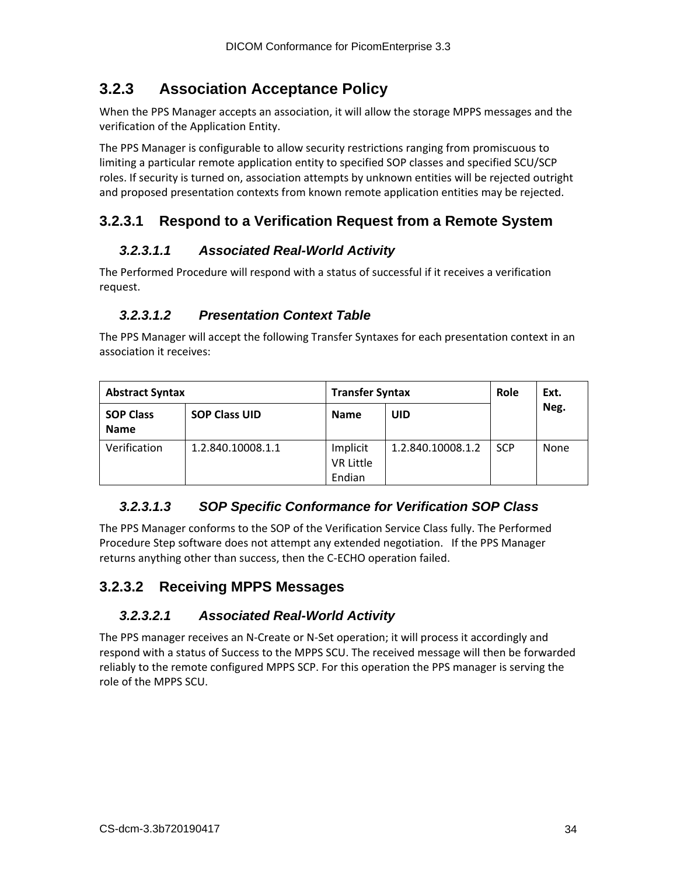## <span id="page-33-0"></span>**3.2.3 Association Acceptance Policy**

When the PPS Manager accepts an association, it will allow the storage MPPS messages and the verification of the Application Entity.

The PPS Manager is configurable to allow security restrictions ranging from promiscuous to limiting a particular remote application entity to specified SOP classes and specified SCU/SCP roles. If security is turned on, association attempts by unknown entities will be rejected outright and proposed presentation contexts from known remote application entities may be rejected.

## <span id="page-33-2"></span><span id="page-33-1"></span>**3.2.3.1 Respond to a Verification Request from a Remote System**

#### *3.2.3.1.1 Associated Real-World Activity*

The Performed Procedure will respond with a status of successful if it receives a verification request.

### <span id="page-33-3"></span>*3.2.3.1.2 Presentation Context Table*

The PPS Manager will accept the following Transfer Syntaxes for each presentation context in an association it receives:

| <b>Abstract Syntax</b>          |                      | <b>Transfer Syntax</b>                 |                   | Role       | Ext. |
|---------------------------------|----------------------|----------------------------------------|-------------------|------------|------|
| <b>SOP Class</b><br><b>Name</b> | <b>SOP Class UID</b> | <b>Name</b>                            | UID               |            | Neg. |
| Verification                    | 1.2.840.10008.1.1    | Implicit<br><b>VR Little</b><br>Endian | 1.2.840.10008.1.2 | <b>SCP</b> | None |

#### <span id="page-33-4"></span>*3.2.3.1.3 SOP Specific Conformance for Verification SOP Class*

The PPS Manager conforms to the SOP of the Verification Service Class fully. The Performed Procedure Step software does not attempt any extended negotiation. If the PPS Manager returns anything other than success, then the C-ECHO operation failed.

## <span id="page-33-6"></span><span id="page-33-5"></span>**3.2.3.2 Receiving MPPS Messages**

#### *3.2.3.2.1 Associated Real-World Activity*

The PPS manager receives an N-Create or N-Set operation; it will process it accordingly and respond with a status of Success to the MPPS SCU. The received message will then be forwarded reliably to the remote configured MPPS SCP. For this operation the PPS manager is serving the role of the MPPS SCU.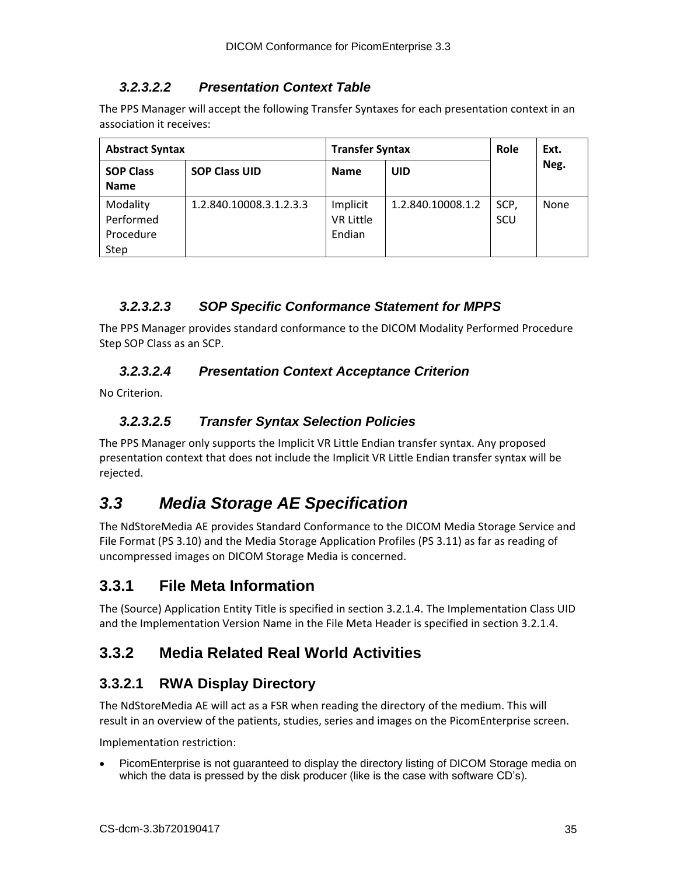### *3.2.3.2.2 Presentation Context Table*

<span id="page-34-0"></span>The PPS Manager will accept the following Transfer Syntaxes for each presentation context in an association it receives:

| <b>Abstract Syntax</b>                     |                         | <b>Transfer Syntax</b>                 |                   | Role        | Ext. |
|--------------------------------------------|-------------------------|----------------------------------------|-------------------|-------------|------|
| <b>SOP Class</b><br><b>Name</b>            | <b>SOP Class UID</b>    | <b>Name</b>                            | <b>UID</b>        |             | Neg. |
| Modality<br>Performed<br>Procedure<br>Step | 1.2.840.10008.3.1.2.3.3 | Implicit<br><b>VR Little</b><br>Endian | 1.2.840.10008.1.2 | SCP.<br>SCU | None |

## <span id="page-34-1"></span>*3.2.3.2.3 SOP Specific Conformance Statement for MPPS*

The PPS Manager provides standard conformance to the DICOM Modality Performed Procedure Step SOP Class as an SCP.

### <span id="page-34-2"></span>*3.2.3.2.4 Presentation Context Acceptance Criterion*

<span id="page-34-3"></span>No Criterion.

### *3.2.3.2.5 Transfer Syntax Selection Policies*

The PPS Manager only supports the Implicit VR Little Endian transfer syntax. Any proposed presentation context that does not include the Implicit VR Little Endian transfer syntax will be rejected.

## <span id="page-34-4"></span>*3.3 Media Storage AE Specification*

The NdStoreMedia AE provides Standard Conformance to the DICOM Media Storage Service and File Format (PS 3.10) and the Media Storage Application Profiles (PS 3.11) as far as reading of uncompressed images on DICOM Storage Media is concerned.

## <span id="page-34-5"></span>**3.3.1 File Meta Information**

The (Source) Application Entity Title is specified in section 3.2.1.4. The Implementation Class UID and the Implementation Version Name in the File Meta Header is specified in section 3.2.1.4.

## <span id="page-34-6"></span>**3.3.2 Media Related Real World Activities**

## <span id="page-34-7"></span>**3.3.2.1 RWA Display Directory**

The NdStoreMedia AE will act as a FSR when reading the directory of the medium. This will result in an overview of the patients, studies, series and images on the PicomEnterprise screen.

Implementation restriction:

• PicomEnterprise is not guaranteed to display the directory listing of DICOM Storage media on which the data is pressed by the disk producer (like is the case with software CD's).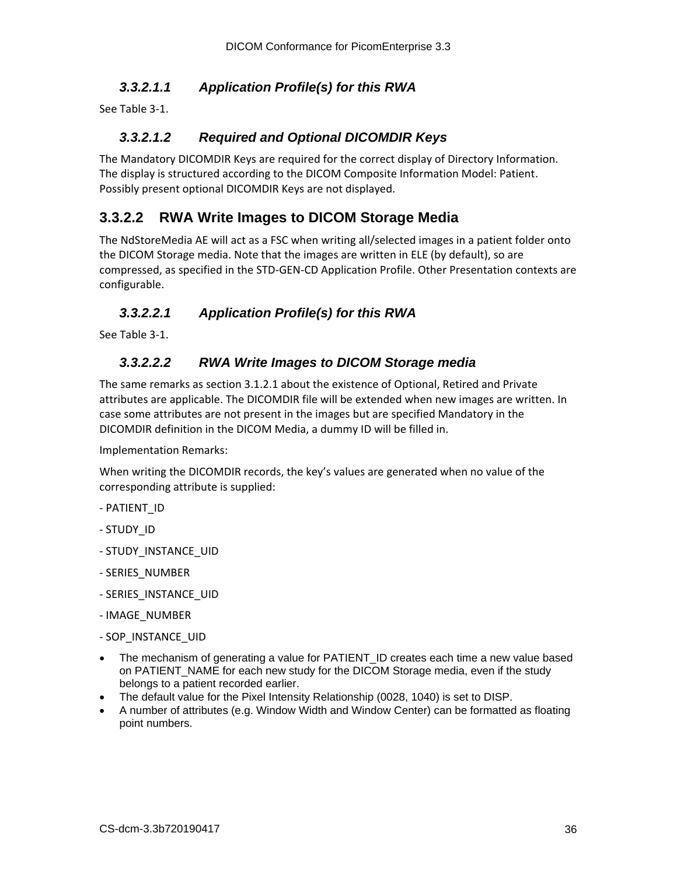#### <span id="page-35-0"></span>*3.3.2.1.1 Application Profile(s) for this RWA*

<span id="page-35-1"></span>See Table 3-1.

#### *3.3.2.1.2 Required and Optional DICOMDIR Keys*

The Mandatory DICOMDIR Keys are required for the correct display of Directory Information. The display is structured according to the DICOM Composite Information Model: Patient. Possibly present optional DICOMDIR Keys are not displayed.

#### <span id="page-35-2"></span>**3.3.2.2 RWA Write Images to DICOM Storage Media**

The NdStoreMedia AE will act as a FSC when writing all/selected images in a patient folder onto the DICOM Storage media. Note that the images are written in ELE (by default), so are compressed, as specified in the STD-GEN-CD Application Profile. Other Presentation contexts are configurable.

#### <span id="page-35-3"></span>*3.3.2.2.1 Application Profile(s) for this RWA*

<span id="page-35-4"></span>See Table 3-1.

#### *3.3.2.2.2 RWA Write Images to DICOM Storage media*

The same remarks as section 3.1.2.1 about the existence of Optional, Retired and Private attributes are applicable. The DICOMDIR file will be extended when new images are written. In case some attributes are not present in the images but are specified Mandatory in the DICOMDIR definition in the DICOM Media, a dummy ID will be filled in.

Implementation Remarks:

When writing the DICOMDIR records, the key's values are generated when no value of the corresponding attribute is supplied:

- PATIENT\_ID
- STUDY\_ID
- STUDY\_INSTANCE\_UID
- SERIES\_NUMBER
- SERIES\_INSTANCE\_UID
- IMAGE\_NUMBER
- SOP\_INSTANCE\_UID
- The mechanism of generating a value for PATIENT ID creates each time a new value based on PATIENT\_NAME for each new study for the DICOM Storage media, even if the study belongs to a patient recorded earlier.
- The default value for the Pixel Intensity Relationship (0028, 1040) is set to DISP.
- A number of attributes (e.g. Window Width and Window Center) can be formatted as floating point numbers.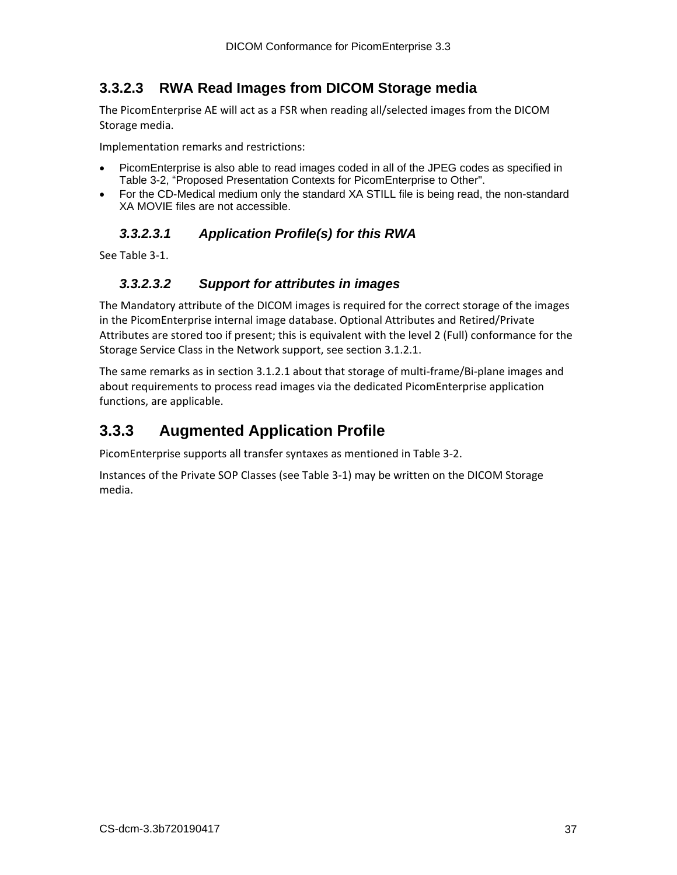## <span id="page-36-0"></span>**3.3.2.3 RWA Read Images from DICOM Storage media**

The PicomEnterprise AE will act as a FSR when reading all/selected images from the DICOM Storage media.

Implementation remarks and restrictions:

- PicomEnterprise is also able to read images coded in all of the JPEG codes as specified in Table 3-2, "Proposed Presentation Contexts for PicomEnterprise to Other".
- <span id="page-36-1"></span>• For the CD-Medical medium only the standard XA STILL file is being read, the non-standard XA MOVIE files are not accessible.

#### *3.3.2.3.1 Application Profile(s) for this RWA*

<span id="page-36-2"></span>See Table 3-1.

#### *3.3.2.3.2 Support for attributes in images*

The Mandatory attribute of the DICOM images is required for the correct storage of the images in the PicomEnterprise internal image database. Optional Attributes and Retired/Private Attributes are stored too if present; this is equivalent with the level 2 (Full) conformance for the Storage Service Class in the Network support, see section 3.1.2.1.

The same remarks as in section 3.1.2.1 about that storage of multi-frame/Bi-plane images and about requirements to process read images via the dedicated PicomEnterprise application functions, are applicable.

## <span id="page-36-3"></span>**3.3.3 Augmented Application Profile**

PicomEnterprise supports all transfer syntaxes as mentioned in Table 3-2.

Instances of the Private SOP Classes (see Table 3-1) may be written on the DICOM Storage media.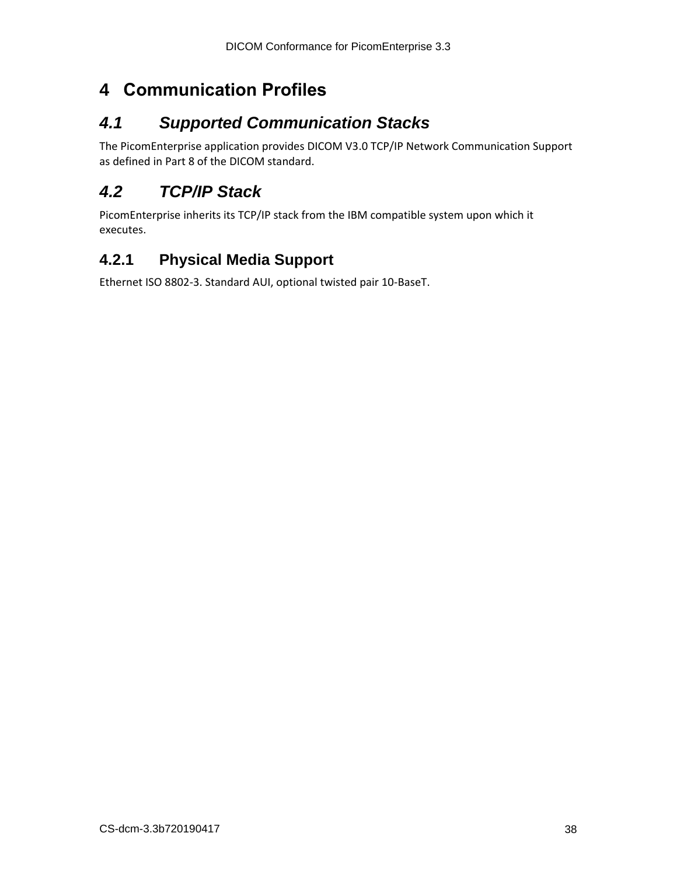# <span id="page-37-0"></span>**4 Communication Profiles**

## <span id="page-37-1"></span>*4.1 Supported Communication Stacks*

The PicomEnterprise application provides DICOM V3.0 TCP/IP Network Communication Support as defined in Part 8 of the DICOM standard.

## <span id="page-37-2"></span>*4.2 TCP/IP Stack*

PicomEnterprise inherits its TCP/IP stack from the IBM compatible system upon which it executes.

## <span id="page-37-3"></span>**4.2.1 Physical Media Support**

Ethernet ISO 8802-3. Standard AUI, optional twisted pair 10-BaseT.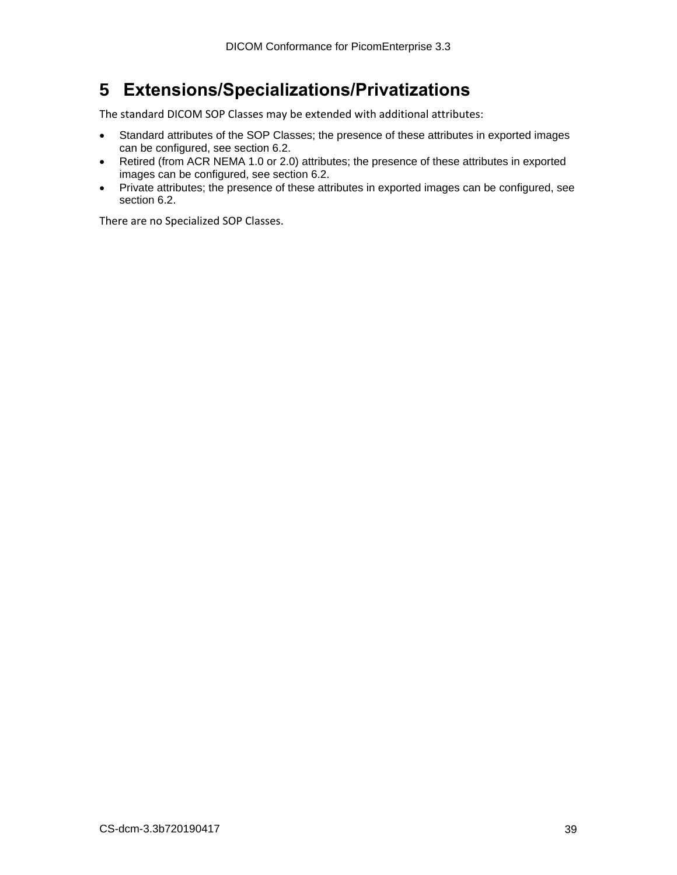# <span id="page-38-0"></span>**5 Extensions/Specializations/Privatizations**

The standard DICOM SOP Classes may be extended with additional attributes:

- Standard attributes of the SOP Classes; the presence of these attributes in exported images can be configured, see section 6.2.
- Retired (from ACR NEMA 1.0 or 2.0) attributes; the presence of these attributes in exported images can be configured, see section 6.2.
- Private attributes; the presence of these attributes in exported images can be configured, see section 6.2.

There are no Specialized SOP Classes.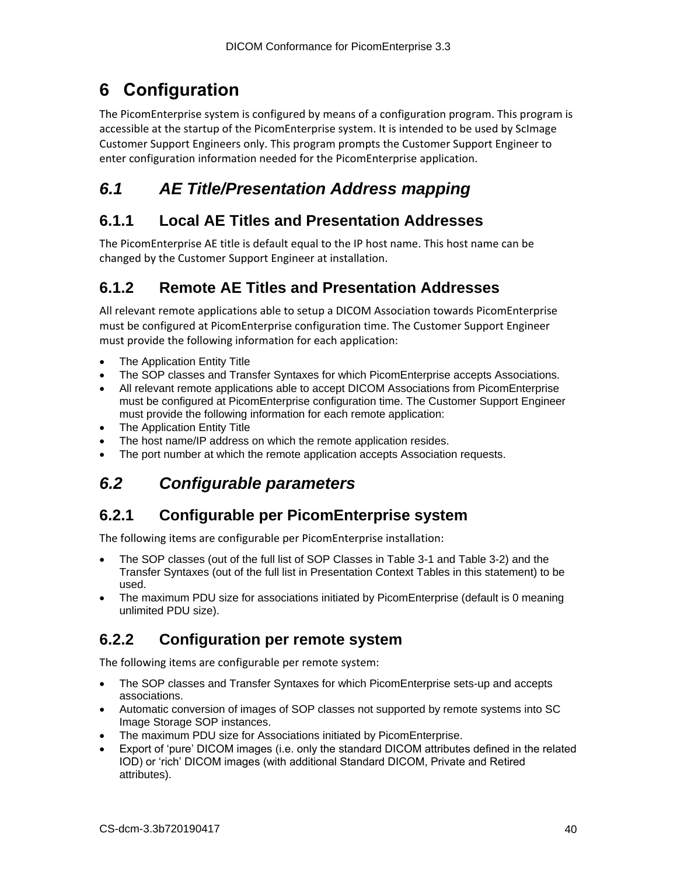# <span id="page-39-0"></span>**6 Configuration**

The PicomEnterprise system is configured by means of a configuration program. This program is accessible at the startup of the PicomEnterprise system. It is intended to be used by ScImage Customer Support Engineers only. This program prompts the Customer Support Engineer to enter configuration information needed for the PicomEnterprise application.

# <span id="page-39-1"></span>*6.1 AE Title/Presentation Address mapping*

## <span id="page-39-2"></span>**6.1.1 Local AE Titles and Presentation Addresses**

The PicomEnterprise AE title is default equal to the IP host name. This host name can be changed by the Customer Support Engineer at installation.

## <span id="page-39-3"></span>**6.1.2 Remote AE Titles and Presentation Addresses**

All relevant remote applications able to setup a DICOM Association towards PicomEnterprise must be configured at PicomEnterprise configuration time. The Customer Support Engineer must provide the following information for each application:

- **The Application Entity Title**
- The SOP classes and Transfer Syntaxes for which PicomEnterprise accepts Associations.
- All relevant remote applications able to accept DICOM Associations from PicomEnterprise must be configured at PicomEnterprise configuration time. The Customer Support Engineer must provide the following information for each remote application:
- The Application Entity Title
- The host name/IP address on which the remote application resides.
- <span id="page-39-4"></span>• The port number at which the remote application accepts Association requests.

## *6.2 Configurable parameters*

## <span id="page-39-5"></span>**6.2.1 Configurable per PicomEnterprise system**

The following items are configurable per PicomEnterprise installation:

- The SOP classes (out of the full list of SOP Classes in Table 3-1 and Table 3-2) and the Transfer Syntaxes (out of the full list in Presentation Context Tables in this statement) to be used.
- The maximum PDU size for associations initiated by PicomEnterprise (default is 0 meaning unlimited PDU size).

## <span id="page-39-6"></span>**6.2.2 Configuration per remote system**

The following items are configurable per remote system:

- The SOP classes and Transfer Syntaxes for which PicomEnterprise sets-up and accepts associations.
- Automatic conversion of images of SOP classes not supported by remote systems into SC Image Storage SOP instances.
- The maximum PDU size for Associations initiated by PicomEnterprise.
- Export of 'pure' DICOM images (i.e. only the standard DICOM attributes defined in the related IOD) or 'rich' DICOM images (with additional Standard DICOM, Private and Retired attributes).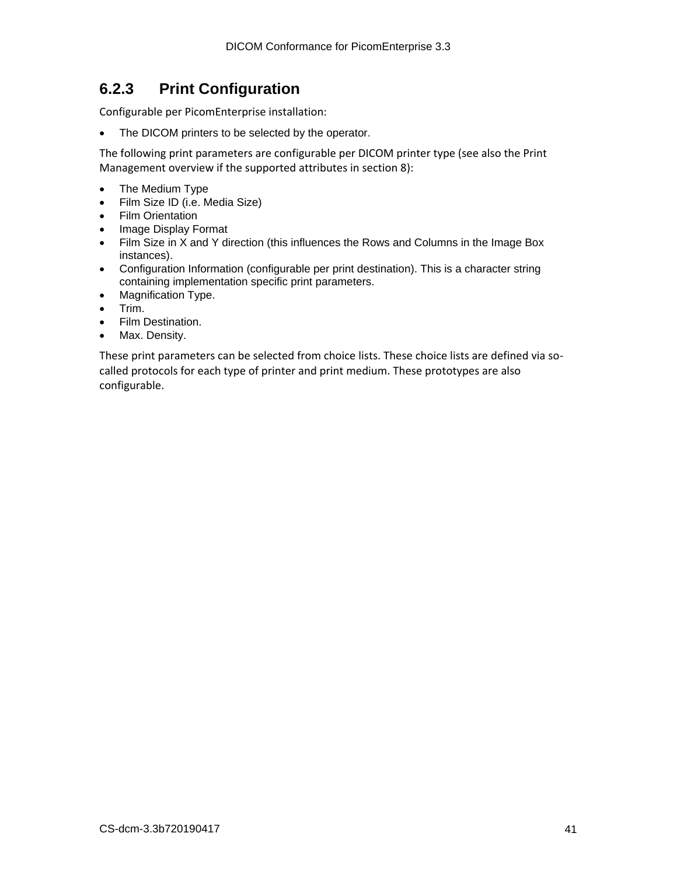## <span id="page-40-0"></span>**6.2.3 Print Configuration**

Configurable per PicomEnterprise installation:

• The DICOM printers to be selected by the operator.

The following print parameters are configurable per DICOM printer type (see also the Print Management overview if the supported attributes in section 8):

- The Medium Type
- Film Size ID (i.e. Media Size)
- Film Orientation
- Image Display Format
- Film Size in X and Y direction (this influences the Rows and Columns in the Image Box instances).
- Configuration Information (configurable per print destination). This is a character string containing implementation specific print parameters.
- Magnification Type.
- Trim.
- Film Destination.
- Max. Density.

These print parameters can be selected from choice lists. These choice lists are defined via socalled protocols for each type of printer and print medium. These prototypes are also configurable.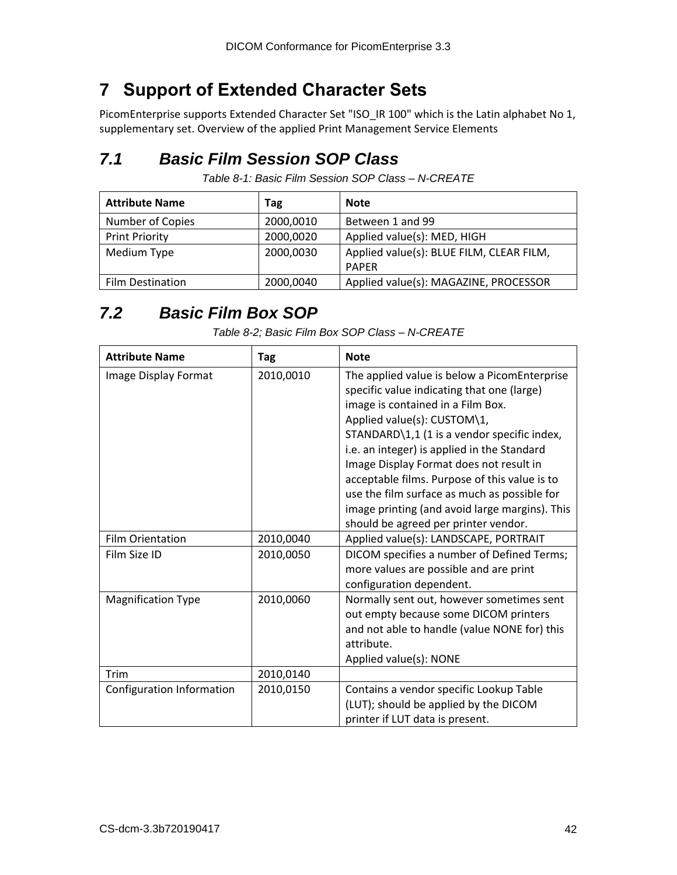# <span id="page-41-0"></span>**7 Support of Extended Character Sets**

PicomEnterprise supports Extended Character Set "ISO\_IR 100" which is the Latin alphabet No 1, supplementary set. Overview of the applied Print Management Service Elements

# <span id="page-41-1"></span>*7.1 Basic Film Session SOP Class*

*Table 8-1: Basic Film Session SOP Class – N-CREATE*

| <b>Attribute Name</b>   | Tag       | <b>Note</b>                              |
|-------------------------|-----------|------------------------------------------|
| Number of Copies        | 2000,0010 | Between 1 and 99                         |
| <b>Print Priority</b>   | 2000,0020 | Applied value(s): MED, HIGH              |
| Medium Type             | 2000,0030 | Applied value(s): BLUE FILM, CLEAR FILM, |
|                         |           | <b>PAPER</b>                             |
| <b>Film Destination</b> | 2000,0040 | Applied value(s): MAGAZINE, PROCESSOR    |

# <span id="page-41-2"></span>*7.2 Basic Film Box SOP*

| <b>Attribute Name</b>     | Tag       | <b>Note</b>                                                                                                                                                                                                                                                                                                                                                                                                                                                                                        |
|---------------------------|-----------|----------------------------------------------------------------------------------------------------------------------------------------------------------------------------------------------------------------------------------------------------------------------------------------------------------------------------------------------------------------------------------------------------------------------------------------------------------------------------------------------------|
| Image Display Format      | 2010,0010 | The applied value is below a PicomEnterprise<br>specific value indicating that one (large)<br>image is contained in a Film Box.<br>Applied value(s): CUSTOM\1,<br>STANDARD\1,1 (1 is a vendor specific index,<br>i.e. an integer) is applied in the Standard<br>Image Display Format does not result in<br>acceptable films. Purpose of this value is to<br>use the film surface as much as possible for<br>image printing (and avoid large margins). This<br>should be agreed per printer vendor. |
| <b>Film Orientation</b>   | 2010,0040 | Applied value(s): LANDSCAPE, PORTRAIT                                                                                                                                                                                                                                                                                                                                                                                                                                                              |
| Film Size ID              | 2010,0050 | DICOM specifies a number of Defined Terms;<br>more values are possible and are print<br>configuration dependent.                                                                                                                                                                                                                                                                                                                                                                                   |
| <b>Magnification Type</b> | 2010,0060 | Normally sent out, however sometimes sent<br>out empty because some DICOM printers<br>and not able to handle (value NONE for) this<br>attribute.<br>Applied value(s): NONE                                                                                                                                                                                                                                                                                                                         |
| <b>Trim</b>               | 2010,0140 |                                                                                                                                                                                                                                                                                                                                                                                                                                                                                                    |
| Configuration Information | 2010,0150 | Contains a vendor specific Lookup Table<br>(LUT); should be applied by the DICOM<br>printer if LUT data is present.                                                                                                                                                                                                                                                                                                                                                                                |

*Table 8-2; Basic Film Box SOP Class – N-CREATE*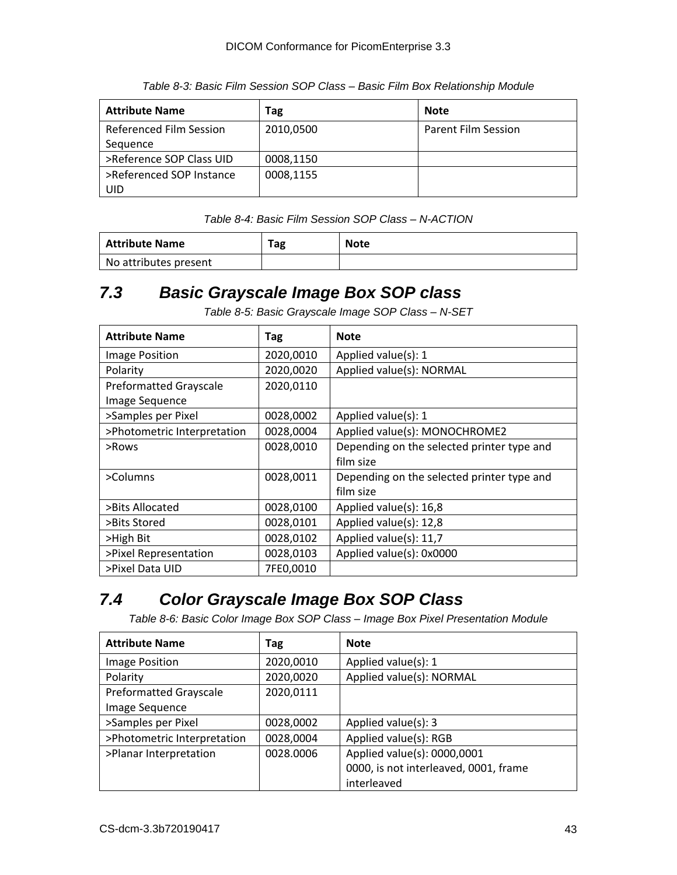| <b>Attribute Name</b>          | Tag       | <b>Note</b>                |
|--------------------------------|-----------|----------------------------|
| <b>Referenced Film Session</b> | 2010,0500 | <b>Parent Film Session</b> |
| Sequence                       |           |                            |
| >Reference SOP Class UID       | 0008,1150 |                            |
| >Referenced SOP Instance       | 0008,1155 |                            |
| UID                            |           |                            |

*Table 8-3: Basic Film Session SOP Class – Basic Film Box Relationship Module*

*Table 8-4: Basic Film Session SOP Class – N-ACTION*

| Attribute Name        | Tag | <b>Note</b> |
|-----------------------|-----|-------------|
| No attributes present |     |             |

## <span id="page-42-0"></span>*7.3 Basic Grayscale Image Box SOP class*

*Table 8-5: Basic Grayscale Image SOP Class – N-SET*

| <b>Attribute Name</b>         | Tag       | <b>Note</b>                                |
|-------------------------------|-----------|--------------------------------------------|
| Image Position                | 2020,0010 | Applied value(s): 1                        |
| Polarity                      | 2020,0020 | Applied value(s): NORMAL                   |
| <b>Preformatted Grayscale</b> | 2020,0110 |                                            |
| Image Sequence                |           |                                            |
| >Samples per Pixel            | 0028,0002 | Applied value(s): 1                        |
| >Photometric Interpretation   | 0028,0004 | Applied value(s): MONOCHROME2              |
| >Rows                         | 0028,0010 | Depending on the selected printer type and |
|                               |           | film size                                  |
| >Columns                      | 0028,0011 | Depending on the selected printer type and |
|                               |           | film size                                  |
| >Bits Allocated               | 0028,0100 | Applied value(s): 16,8                     |
| >Bits Stored                  | 0028,0101 | Applied value(s): 12,8                     |
| >High Bit                     | 0028,0102 | Applied value(s): 11,7                     |
| >Pixel Representation         | 0028,0103 | Applied value(s): 0x0000                   |
| >Pixel Data UID               | 7FE0,0010 |                                            |

# <span id="page-42-1"></span>*7.4 Color Grayscale Image Box SOP Class*

*Table 8-6: Basic Color Image Box SOP Class – Image Box Pixel Presentation Module*

| <b>Attribute Name</b>         | Tag       | <b>Note</b>                           |
|-------------------------------|-----------|---------------------------------------|
| <b>Image Position</b>         | 2020,0010 | Applied value(s): 1                   |
| Polarity                      | 2020,0020 | Applied value(s): NORMAL              |
| <b>Preformatted Grayscale</b> | 2020,0111 |                                       |
| Image Sequence                |           |                                       |
| >Samples per Pixel            | 0028,0002 | Applied value(s): 3                   |
| >Photometric Interpretation   | 0028,0004 | Applied value(s): RGB                 |
| >Planar Interpretation        | 0028.0006 | Applied value(s): 0000,0001           |
|                               |           | 0000, is not interleaved, 0001, frame |
|                               |           | interleaved                           |